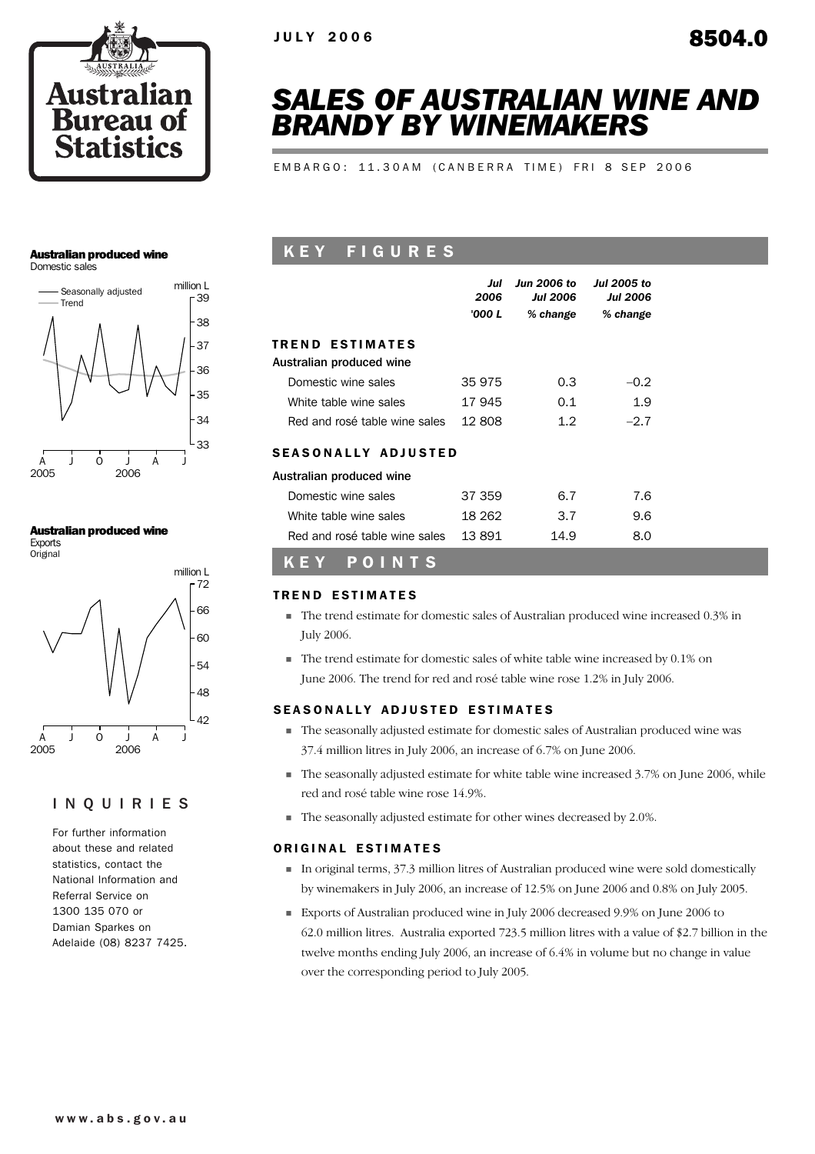

# *SALES OF AUSTRALIAN WINE AND BRANDY BY WINEMAKERS*

EMBARGO: 11.30AM (CANBERRA TIME) FRI 8 SEP 2006

## Australian produced wine

Domestic sales



### Australian produced wine

Exports **Original** 



## INQUIRIES

For further information about these and related statistics, contact the National Information and Referral Service on 1300 135 070 or Damian Sparkes on Adelaide (08) 8237 7425.

# K E Y F I G U R E S

|                               | Jul<br>2006<br>'000 L | <b>Jun 2006 to</b><br><b>Jul 2006</b><br>% change | <b>Jul 2005 to</b><br><b>Jul 2006</b><br>% change |  |
|-------------------------------|-----------------------|---------------------------------------------------|---------------------------------------------------|--|
| <b>TREND ESTIMATES</b>        |                       |                                                   |                                                   |  |
| Australian produced wine      |                       |                                                   |                                                   |  |
| Domestic wine sales           | 35 975                | 0.3                                               | $-0.2$                                            |  |
| White table wine sales        | 17 945                | 0.1                                               | 1.9                                               |  |
| Red and rosé table wine sales | 12.808                | 1.2                                               | $-2.7$                                            |  |
| <b>SEASONALLY ADJUSTED</b>    |                       |                                                   |                                                   |  |
| Australian produced wine      |                       |                                                   |                                                   |  |
| Domestic wine sales           | 37 359                | 6.7                                               | 7.6                                               |  |
| White table wine sales        | 18 262                | 3.7                                               | 9.6                                               |  |
| Red and rosé table wine sales | 13 891                | 14.9                                              | 8.0                                               |  |

# KEY POINTS

## TREND ESTIMATES

- ! The trend estimate for domestic sales of Australian produced wine increased 0.3% in July 2006.
- ! The trend estimate for domestic sales of white table wine increased by 0.1% on June 2006. The trend for red and rosé table wine rose 1.2% in July 2006.

## SEASONALLY ADJUSTED ESTIMATES

- ! The seasonally adjusted estimate for domestic sales of Australian produced wine was 37.4 million litres in July 2006, an increase of 6.7% on June 2006.
- ! The seasonally adjusted estimate for white table wine increased 3.7% on June 2006, while red and rosé table wine rose 14.9%.
- ! The seasonally adjusted estimate for other wines decreased by 2.0%.

## ORIGINAL ESTIMATES

- ! In original terms, 37.3 million litres of Australian produced wine were sold domestically by winemakers in July 2006, an increase of 12.5% on June 2006 and 0.8% on July 2005.
- ! Exports of Australian produced wine in July 2006 decreased 9.9% on June 2006 to 62.0 million litres. Australia exported 723.5 million litres with a value of \$2.7 billion in the twelve months ending July 2006, an increase of 6.4% in volume but no change in value over the corresponding period to July 2005.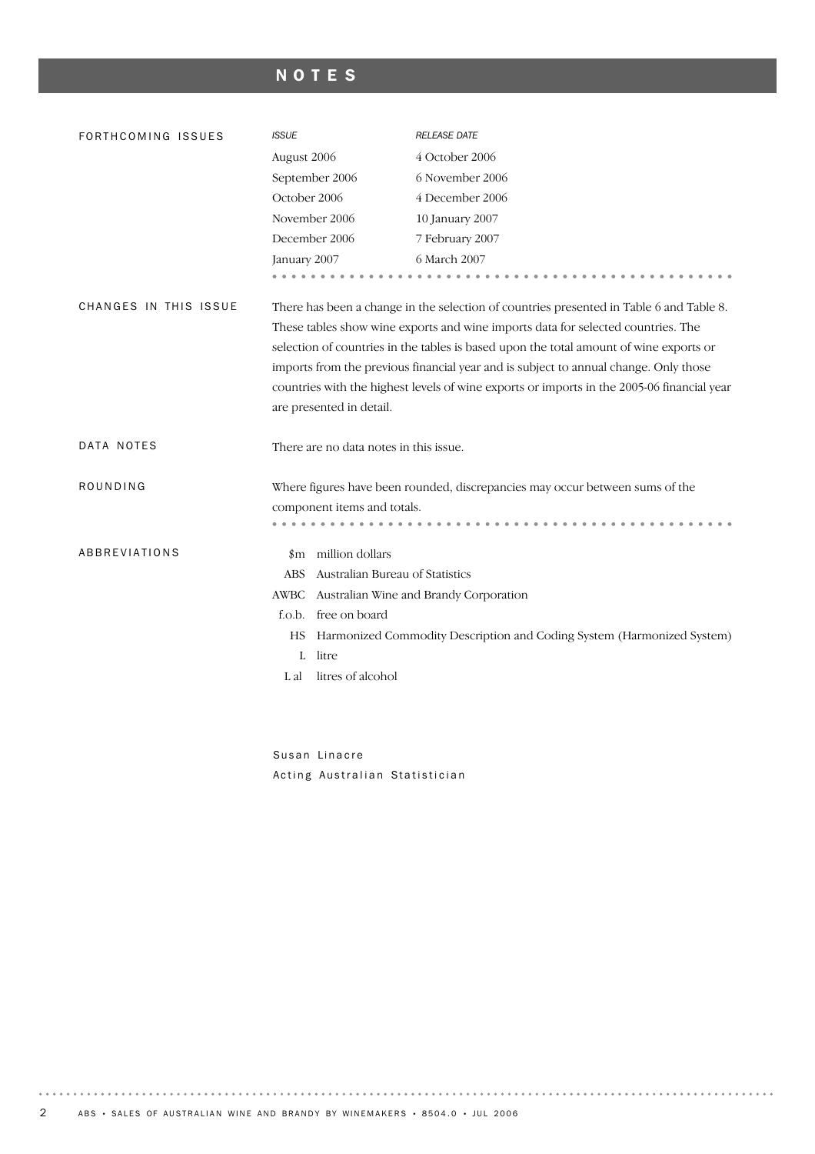# NOTES

| FORTHCOMING ISSUES    | <b>ISSUE</b>                                                                                                                                                                                                                                                                                                                                                                                                                                                                            | <b>RELEASE DATE</b>                                                          |  |  |  |
|-----------------------|-----------------------------------------------------------------------------------------------------------------------------------------------------------------------------------------------------------------------------------------------------------------------------------------------------------------------------------------------------------------------------------------------------------------------------------------------------------------------------------------|------------------------------------------------------------------------------|--|--|--|
|                       | August 2006                                                                                                                                                                                                                                                                                                                                                                                                                                                                             | 4 October 2006                                                               |  |  |  |
|                       | September 2006                                                                                                                                                                                                                                                                                                                                                                                                                                                                          | 6 November 2006                                                              |  |  |  |
|                       | October 2006                                                                                                                                                                                                                                                                                                                                                                                                                                                                            | 4 December 2006                                                              |  |  |  |
|                       | November 2006                                                                                                                                                                                                                                                                                                                                                                                                                                                                           | 10 January 2007                                                              |  |  |  |
|                       | December 2006                                                                                                                                                                                                                                                                                                                                                                                                                                                                           | 7 February 2007                                                              |  |  |  |
|                       | January 2007                                                                                                                                                                                                                                                                                                                                                                                                                                                                            | 6 March 2007                                                                 |  |  |  |
|                       |                                                                                                                                                                                                                                                                                                                                                                                                                                                                                         |                                                                              |  |  |  |
| CHANGES IN THIS ISSUE | There has been a change in the selection of countries presented in Table 6 and Table 8.<br>These tables show wine exports and wine imports data for selected countries. The<br>selection of countries in the tables is based upon the total amount of wine exports or<br>imports from the previous financial year and is subject to annual change. Only those<br>countries with the highest levels of wine exports or imports in the 2005-06 financial year<br>are presented in detail. |                                                                              |  |  |  |
|                       |                                                                                                                                                                                                                                                                                                                                                                                                                                                                                         |                                                                              |  |  |  |
| DATA NOTES            | There are no data notes in this issue.                                                                                                                                                                                                                                                                                                                                                                                                                                                  |                                                                              |  |  |  |
| ROUNDING              |                                                                                                                                                                                                                                                                                                                                                                                                                                                                                         | Where figures have been rounded, discrepancies may occur between sums of the |  |  |  |
|                       | component items and totals.                                                                                                                                                                                                                                                                                                                                                                                                                                                             |                                                                              |  |  |  |
|                       |                                                                                                                                                                                                                                                                                                                                                                                                                                                                                         |                                                                              |  |  |  |
| ABBREVIATIONS         | \$m million dollars                                                                                                                                                                                                                                                                                                                                                                                                                                                                     |                                                                              |  |  |  |
|                       | Australian Bureau of Statistics<br>ABS                                                                                                                                                                                                                                                                                                                                                                                                                                                  |                                                                              |  |  |  |
|                       | AWBC                                                                                                                                                                                                                                                                                                                                                                                                                                                                                    | Australian Wine and Brandy Corporation                                       |  |  |  |
|                       | free on board<br>f.o.b.                                                                                                                                                                                                                                                                                                                                                                                                                                                                 |                                                                              |  |  |  |
|                       | НS                                                                                                                                                                                                                                                                                                                                                                                                                                                                                      | Harmonized Commodity Description and Coding System (Harmonized System)       |  |  |  |
|                       | litre<br>L                                                                                                                                                                                                                                                                                                                                                                                                                                                                              |                                                                              |  |  |  |
|                       | litres of alcohol<br>L al                                                                                                                                                                                                                                                                                                                                                                                                                                                               |                                                                              |  |  |  |
|                       |                                                                                                                                                                                                                                                                                                                                                                                                                                                                                         |                                                                              |  |  |  |

Susan Linacre Acting Australian Statistician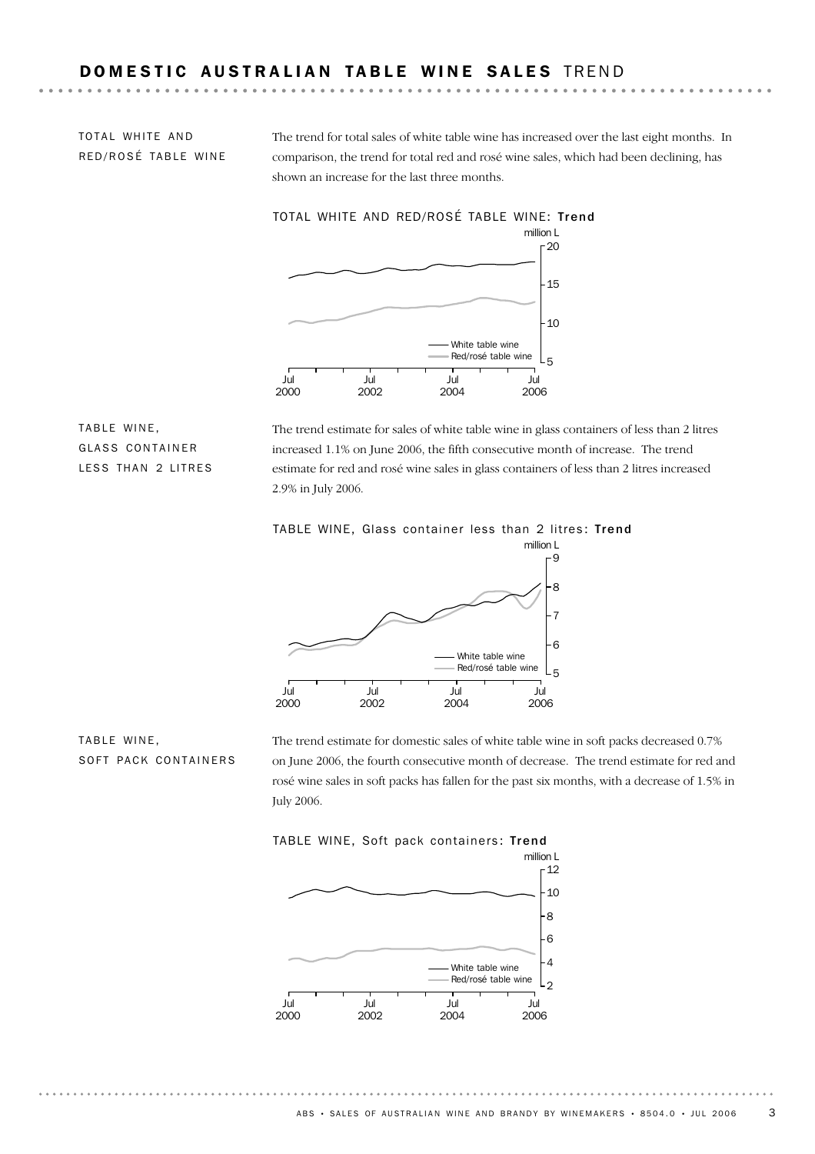TOTAL WHITE AND RED/ROSÉ TABLE WINE The trend for total sales of white table wine has increased over the last eight months. In comparison, the trend for total red and rosé wine sales, which had been declining, has shown an increase for the last three months.



TABLE WINE, GLASS CONTAINER LESS THAN 2 LITRES

The trend estimate for sales of white table wine in glass containers of less than 2 litres increased 1.1% on June 2006, the fifth consecutive month of increase. The trend estimate for red and rosé wine sales in glass containers of less than 2 litres increased 2.9% in July 2006.





TABLE WINE, SOFT PACK CONTAINERS The trend estimate for domestic sales of white table wine in soft packs decreased 0.7% on June 2006, the fourth consecutive month of decrease. The trend estimate for red and rosé wine sales in soft packs has fallen for the past six months, with a decrease of 1.5% in July 2006.



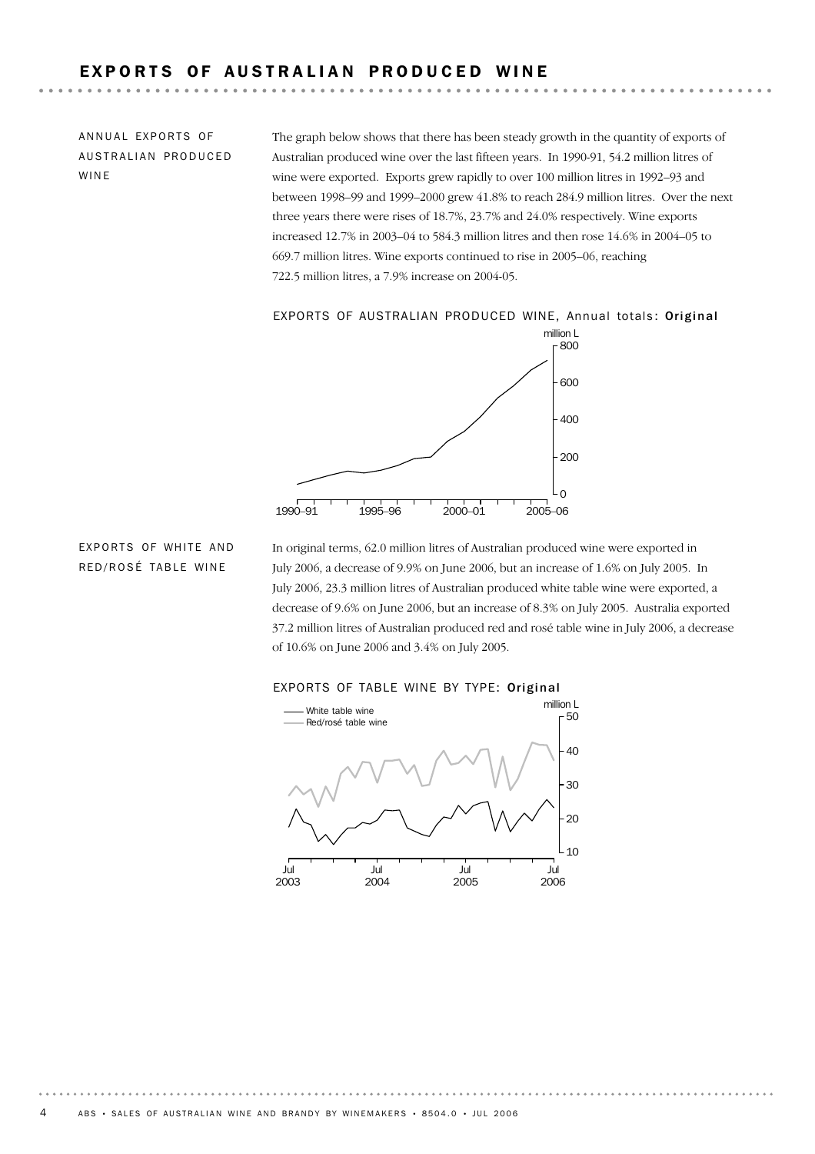# EXPORTS OF AUSTRALIAN PRODUCED WINE

ANNUAL EXPORTS OF AUSTRALIAN PRODUCED WINE

The graph below shows that there has been steady growth in the quantity of exports of Australian produced wine over the last fifteen years. In 1990-91, 54.2 million litres of wine were exported. Exports grew rapidly to over 100 million litres in 1992–93 and between 1998–99 and 1999–2000 grew 41.8% to reach 284.9 million litres. Over the next three years there were rises of 18.7%, 23.7% and 24.0% respectively. Wine exports increased 12.7% in 2003–04 to 584.3 million litres and then rose 14.6% in 2004–05 to 669.7 million litres. Wine exports continued to rise in 2005–06, reaching 722.5 million litres, a 7.9% increase on 2004-05.

### EXPORTS OF AUSTRALIAN PRODUCED WINE, Annual totals: Original



## EXPORTS OF WHITE AND RED/ROSÉ TABLE WINE

In original terms, 62.0 million litres of Australian produced wine were exported in July 2006, a decrease of 9.9% on June 2006, but an increase of 1.6% on July 2005. In July 2006, 23.3 million litres of Australian produced white table wine were exported, a decrease of 9.6% on June 2006, but an increase of 8.3% on July 2005. Australia exported 37.2 million litres of Australian produced red and rosé table wine in July 2006, a decrease of 10.6% on June 2006 and 3.4% on July 2005.



#### EXPORTS OF TABLE WINE BY TYPE: Original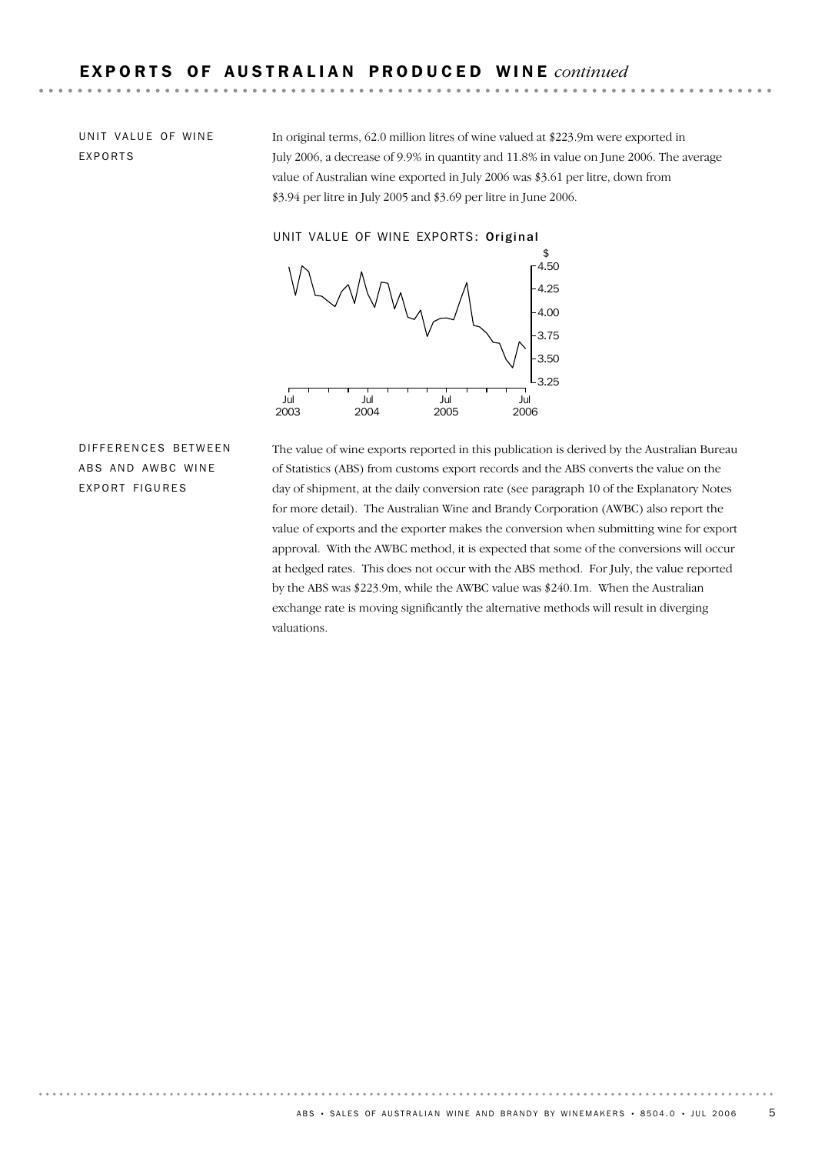UNIT VALUE OF WINE EXPORTS

In original terms, 62.0 million litres of wine valued at \$223.9m were exported in July 2006, a decrease of 9.9% in quantity and 11.8% in value on June 2006. The average value of Australian wine exported in July 2006 was \$3.61 per litre, down from \$3.94 per litre in July 2005 and \$3.69 per litre in June 2006.

UNIT VALUE OF WINE EXPORTS: Original



DIFFERENCES BETWEEN ABS AND AWBC WINE EXPORT FIGURES

The value of wine exports reported in this publication is derived by the Australian Bureau of Statistics (ABS) from customs export records and the ABS converts the value on the day of shipment, at the daily conversion rate (see paragraph 10 of the Explanatory Notes for more detail). The Australian Wine and Brandy Corporation (AWBC) also report the value of exports and the exporter makes the conversion when submitting wine for export approval. With the AWBC method, it is expected that some of the conversions will occur at hedged rates. This does not occur with the ABS method. For July, the value reported by the ABS was \$223.9m, while the AWBC value was \$240.1m. When the Australian exchange rate is moving significantly the alternative methods will result in diverging valuations.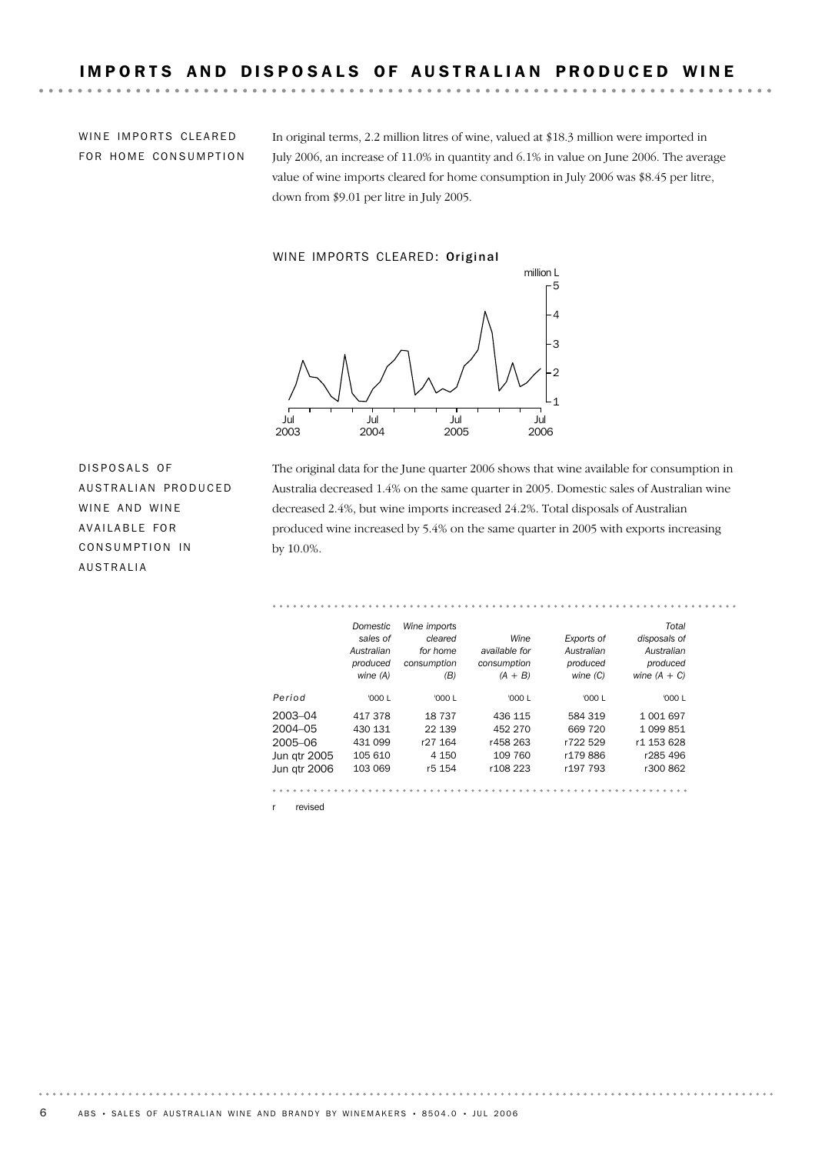WINE IMPORTS CLEARED FOR HOME CONSUMPTION In original terms, 2.2 million litres of wine, valued at \$18.3 million were imported in July 2006, an increase of 11.0% in quantity and 6.1% in value on June 2006. The average value of wine imports cleared for home consumption in July 2006 was \$8.45 per litre, down from \$9.01 per litre in July 2005.

. . . . . .

#### WINE IMPORTS CLEARED: Original



DISPOSALS OF AUSTRALIAN PRODUCED WINE AND WINE AVAILABLE FOR CONSUMPTION IN AUSTRALIA

The original data for the June quarter 2006 shows that wine available for consumption in Australia decreased 1.4% on the same quarter in 2005. Domestic sales of Australian wine decreased 2.4%, but wine imports increased 24.2%. Total disposals of Australian produced wine increased by 5.4% on the same quarter in 2005 with exports increasing by 10.0%.

#### . . . . . . . *Domestic Wine imports Total sales of cleared Wine Exports of disposals of Australian available for for home Australian Australian produced consumption consumption produced produced wine (A) (B) (A + B) wine (C) wine (A + C) Period* '000 L '000 L '000 L '000 L '000 L 2003–04 417 378 18 737 436 115 584 319 1 001 697 2004–05 430 131 22 139 452 270 669 720 1 099 851 2005–06 431 099 r27 164 r458 263 r722 529 r1 153 628 Jun qtr 2005 105 610 4 150 109 760 r179 886 r285 496 Jun qtr 2006 103 069 r5 154 r108 223 r197 793 r300 862

r revised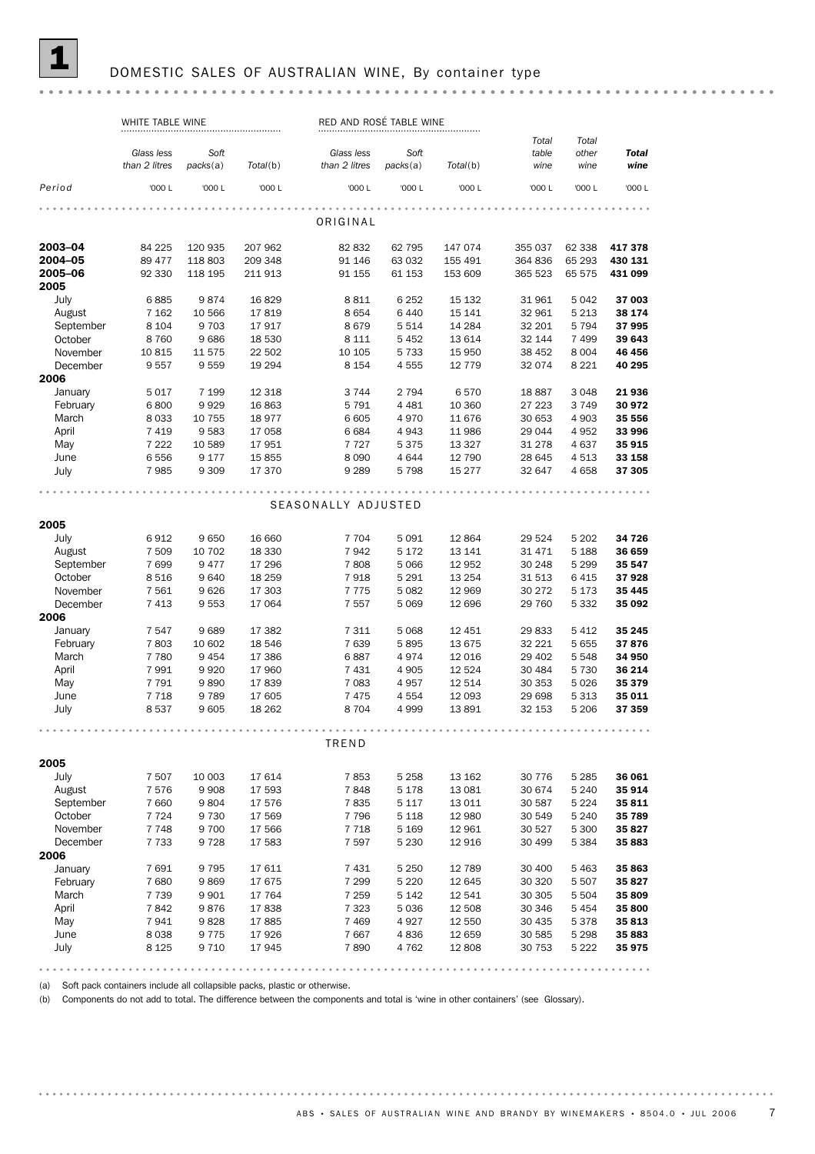## DOMESTIC SALES OF AUSTRALIAN WINE, By container type

#### 

|                  | WHITE TABLE WINE |                 |                  | RED AND ROSE TABLE WINE |          |                |                  |                    |              |
|------------------|------------------|-----------------|------------------|-------------------------|----------|----------------|------------------|--------------------|--------------|
|                  |                  |                 |                  |                         |          |                | Total            | Total              |              |
|                  | Glass less       | Soft            |                  | Glass less              | Soft     |                | table            | other              | <b>Total</b> |
|                  | than 2 litres    | packs(a)        | Total(b)         | than 2 litres           | packs(a) | Total(b)       | wine             | wine               | wine         |
| Period           | '000 L           | '000 L          | '000 L           | '000 L                  | '000 L   | '000 L         | '000 L           | '000 L             | '000 L       |
|                  |                  |                 |                  | ORIGINAL                |          |                |                  |                    |              |
|                  |                  |                 |                  |                         |          |                |                  |                    |              |
| 2003-04          | 84 225           | 120 935         | 207 962          | 82 832                  | 62 795   | 147 074        | 355 037          | 62 338             | 417378       |
| 2004-05          | 89 477           | 118 803         | 209 348          | 91 146                  | 63 032   | 155 491        | 364 836          | 65 293             | 430 131      |
| 2005-06          | 92 330           | 118 195         | 211 913          | 91 155                  | 61 153   | 153 609        | 365 523          | 65 575             | 431 099      |
| 2005             |                  |                 |                  |                         |          |                |                  |                    |              |
| July             | 6885             | 9874            | 16829            | 8811                    | 6 2 5 2  | 15 132         | 31 961           | 5042               | 37 003       |
| August           | 7 1 6 2          | 10 566          | 17819            | 8654                    | 6 4 4 0  | 15 141         | 32 961           | 5 2 1 3            | 38 174       |
| September        | 8 1 0 4          | 9 7 0 3         | 17917            | 8679                    | 5 5 1 4  | 14 284         | 32 201           | 5 7 9 4            | 37 995       |
| October          | 8760             | 9686            | 18 530           | 8 1 1 1                 | 5 4 5 2  | 13 614         | 32 144           | 7 4 9 9            | 39 643       |
| November         | 10815            | 11 575          | 22 502           | 10 105                  | 5 7 3 3  | 15 950         | 38 452           | 8 0 0 4            | 46 456       |
| December         | 9557             | 9559            | 19 294           | 8 1 5 4                 | 4555     | 12 7 7 9       | 32 0 74          | 8 2 2 1            | 40 295       |
| 2006<br>January  |                  |                 |                  |                         | 2 7 9 4  |                |                  | 3 0 4 8            | 21 936       |
| February         | 5017<br>6800     | 7 1 9 9<br>9929 | 12 3 18<br>16863 | 3744                    | 4 4 8 1  | 6570<br>10 360 | 18887            | 3749               | 30 972       |
| March            | 8033             | 10 755          | 18977            | 5791<br>6 6 0 5         | 4970     | 11 676         | 27 223<br>30 653 | 4 9 0 3            | 35 556       |
| April            | 7419             | 9583            | 17 058           | 6684                    | 4943     | 11 986         | 29 044           | 4952               | 33 996       |
| May              | 7 2 2 2          | 10 589          | 17951            | 7727                    | 5 3 7 5  | 13 3 27        | 31 278           | 4637               | 35 915       |
| June             | 6556             | 9 1 7 7         | 15855            | 8 0 9 0                 | 4 6 4 4  | 12 790         | 28 645           | 4513               | 33 158       |
| July             | 7985             | 9 3 0 9         | 17 370           | 9 2 8 9                 | 5 7 9 8  | 15 277         | 32 647           | 4658               | 37 305       |
|                  |                  |                 |                  |                         |          |                |                  |                    |              |
|                  |                  |                 |                  | SEASONALLY ADJUSTED     |          |                |                  |                    |              |
|                  |                  |                 |                  |                         |          |                |                  |                    |              |
| 2005             |                  |                 |                  |                         |          |                |                  |                    |              |
| July             | 6912             | 9650            | 16 660           | 7 7 0 4                 | 5 0 9 1  | 12 8 64        | 29 5 24          | 5 2 0 2            | 34 726       |
| August           | 7 5 0 9          | 10 702          | 18 3 30          | 7942                    | 5 1 7 2  | 13 141         | 31 471           | 5 1 8 8            | 36 659       |
| September        | 7699             | 9 4 7 7         | 17 29 6          | 7808                    | 5 0 6 6  | 12 952         | 30 248           | 5 2 9 9            | 35 547       |
| October          | 8516             | 9640            | 18 25 9          | 7918                    | 5 2 9 1  | 13 2 54        | 31 513           | 6415               | 37928        |
| November         | 7561             | 9626            | 17 303           | 7775                    | 5 0 8 2  | 12 969         | 30 272           | 5 1 7 3            | 35 445       |
| December<br>2006 | 7413             | 9553            | 17 064           | 7557                    | 5 0 6 9  | 12 696         | 29 760           | 5 3 3 2            | 35 092       |
| January          | 7 5 4 7          | 9689            | 17 382           | 7 3 1 1                 | 5 0 6 8  | 12 451         | 29 833           | 5412               | 35 245       |
| February         | 7803             | 10 602          | 18 546           | 7639                    | 5895     | 13 675         | 32 221           | 5655               | 37876        |
| March            | 7 7 8 0          | 9 4 5 4         | 17 386           | 6887                    | 4974     | 12 0 16        | 29 402           | 5548               | 34 950       |
| April            | 7991             | 9920            | 17 960           | 7431                    | 4 9 0 5  | 12 5 24        | 30 4 84          | 5 7 3 0            | 36 214       |
| May              | 7791             | 9890            | 17839            | 7 0 8 3                 | 4957     | 12 514         | 30 353           | 5026               | 35 379       |
| June             | 7 7 1 8          | 9789            | 17 605           | 7475                    | 4 5 5 4  | 12 093         | 29 698           | 5313               | 35 011       |
| July             | 8537             | 9 6 0 5         | 18 26 2          | 8704                    | 4 9 9 9  | 13 891         | 32 153           | 5 2 0 6            | 37 359       |
|                  |                  |                 |                  |                         |          |                |                  |                    |              |
|                  |                  |                 |                  | TREND                   |          |                |                  |                    |              |
| 2005             |                  |                 |                  |                         |          |                |                  |                    |              |
| July             | 7 5 0 7          | 10 003          | 17614            | 7853                    | 5 2 5 8  | 13 162         | 30 7 7 6         | 5 2 8 5            | 36 061       |
| August           | 7576             | 9 9 0 8         | 17 593           | 7848                    | 5 1 7 8  | 13 081         | 30 674           | 5 2 4 0            | 35 914       |
| September        | 7 6 6 0          | 9804            | 17 576           | 7835                    | 5 1 1 7  | 13 0 11        | 30 587           | 5 2 2 4            | 35 811       |
| October          | 7 7 2 4          | 9 7 3 0         | 17 569           | 7796                    | 5 1 1 8  | 12 980         | 30 549           | 5 2 4 0            | 35 789       |
| November         | 7748             | 9 700           | 17 566           | 7718                    | 5 1 6 9  | 12 961         | 30 527           | 5 300              | 35 827       |
| December         | 7 7 3 3          | 9728            | 17 583           | 7 5 9 7                 | 5 2 3 0  | 12 916         | 30 499           | 5 3 8 4            | 35 883       |
| 2006             |                  |                 |                  |                         |          |                |                  |                    |              |
| January          | 7691             | 9 7 9 5         | 17611            | 7431                    | 5 2 5 0  | 12 789         | 30 400           | 5463               | 35 863       |
| February         | 7680             | 9869            | 17675            | 7 2 9 9                 | 5 2 2 0  | 12 645         | 30 320           | 5 5 0 7            | 35 827       |
| March            | 7 7 3 9          | 9 9 0 1         | 17 764           | 7 2 5 9                 | 5 1 4 2  | 12 541         | 30 30 5          | 5 5 0 4            | 35 809       |
| April            | 7842             | 9876            | 17838            | 7 3 2 3                 | 5 0 3 6  | 12 508         | 30 346           | 5454               | 35 800       |
| May              | 7941             | 9828            | 17885            | 7469                    | 4927     | 12 550         | 30 4 35          | 5378               | 35 813       |
| June<br>July     | 8038<br>8 1 2 5  | 9 7 7 5         | 17926            | 7667                    | 4836     | 12 659         | 30 585           | 5 2 9 8<br>5 2 2 2 | 35 883       |
|                  |                  | 9 7 1 0         | 17945            | 7890                    | 4 7 6 2  | 12 808         | 30 753           |                    | 35 975       |

(a) Soft pack containers include all collapsible packs, plastic or otherwise.

(b) Components do not add to total. The difference between the components and total is 'wine in other containers' (see Glossary).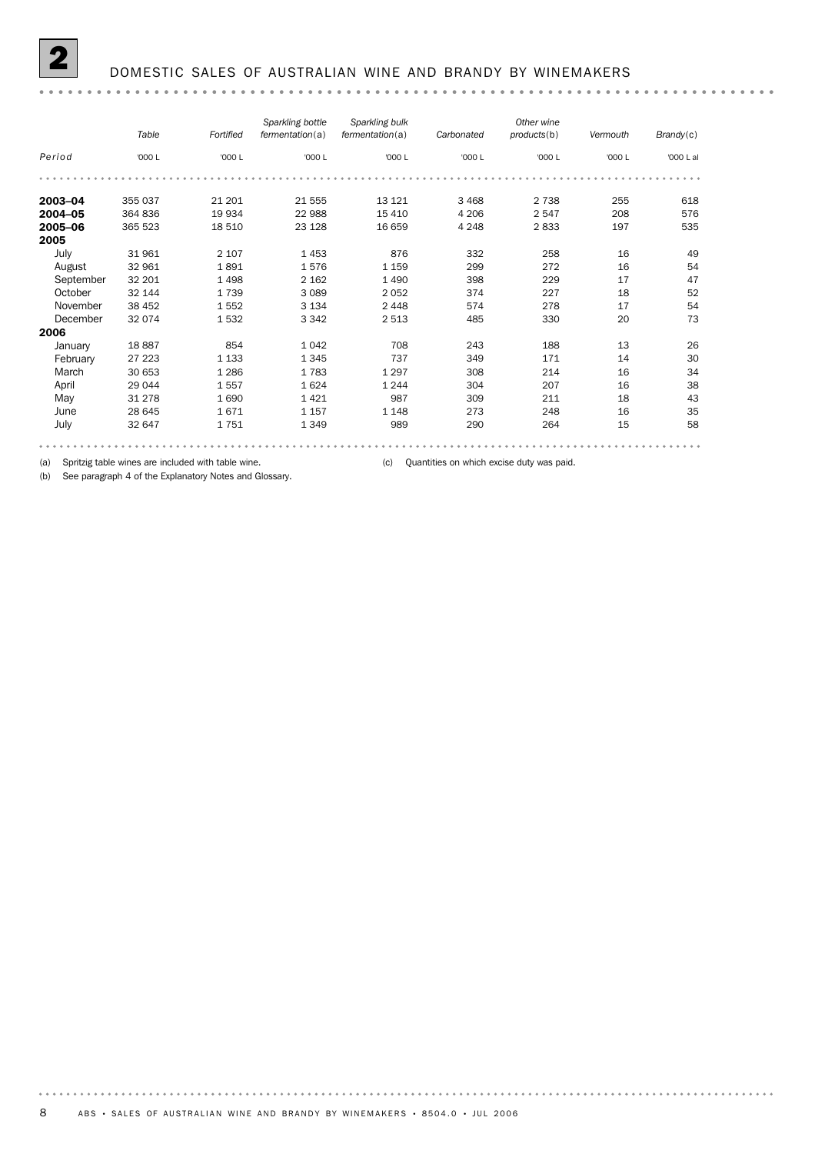|           | Table   | Fortified | Sparkling bottle<br>fermentation(a) | Sparkling bulk<br>fermentation(a) | Carbonated | Other wine<br>products(b) | Vermouth | Brandy(c) |
|-----------|---------|-----------|-------------------------------------|-----------------------------------|------------|---------------------------|----------|-----------|
| Period    | '000 L  | '000 L    | '000 L                              | '000 L                            | '000 L     | '000 L                    | '000 L   | '000 L al |
|           |         |           |                                     |                                   |            |                           |          |           |
| 2003-04   | 355 037 | 21 201    | 21 555                              | 13 121                            | 3 4 6 8    | 2 7 3 8                   | 255      | 618       |
| 2004-05   | 364 836 | 19 934    | 22 988                              | 15 4 10                           | 4 2 0 6    | 2547                      | 208      | 576       |
| 2005-06   | 365 523 | 18 510    | 23 1 28                             | 16 659                            | 4 2 4 8    | 2833                      | 197      | 535       |
| 2005      |         |           |                                     |                                   |            |                           |          |           |
| July      | 31 961  | 2 1 0 7   | 1453                                | 876                               | 332        | 258                       | 16       | 49        |
| August    | 32 961  | 1891      | 1576                                | 1 1 5 9                           | 299        | 272                       | 16       | 54        |
| September | 32 201  | 1498      | 2 1 6 2                             | 1 4 9 0                           | 398        | 229                       | 17       | 47        |
| October   | 32 144  | 1739      | 3 0 8 9                             | 2052                              | 374        | 227                       | 18       | 52        |
| November  | 38 452  | 1552      | 3 1 3 4                             | 2 4 4 8                           | 574        | 278                       | 17       | 54        |
| December  | 32 074  | 1532      | 3 3 4 2                             | 2 5 1 3                           | 485        | 330                       | 20       | 73        |
| 2006      |         |           |                                     |                                   |            |                           |          |           |
| January   | 18887   | 854       | 1042                                | 708                               | 243        | 188                       | 13       | 26        |
| February  | 27 223  | 1 1 3 3   | 1 3 4 5                             | 737                               | 349        | 171                       | 14       | 30        |
| March     | 30 653  | 1 2 8 6   | 1783                                | 1 2 9 7                           | 308        | 214                       | 16       | 34        |
| April     | 29 044  | 1557      | 1624                                | 1 2 4 4                           | 304        | 207                       | 16       | 38        |
| May       | 31 278  | 1690      | 1421                                | 987                               | 309        | 211                       | 18       | 43        |
| June      | 28 645  | 1671      | 1 1 5 7                             | 1 1 4 8                           | 273        | 248                       | 16       | 35        |
| July      | 32 647  | 1751      | 1 3 4 9                             | 989                               | 290        | 264                       | 15       | 58        |
|           |         |           |                                     |                                   |            |                           |          |           |

(a) Spritzig table wines are included with table wine. (c) Quantities on which excise duty was paid.

(b) See paragraph 4 of the Explanatory Notes and Glossary.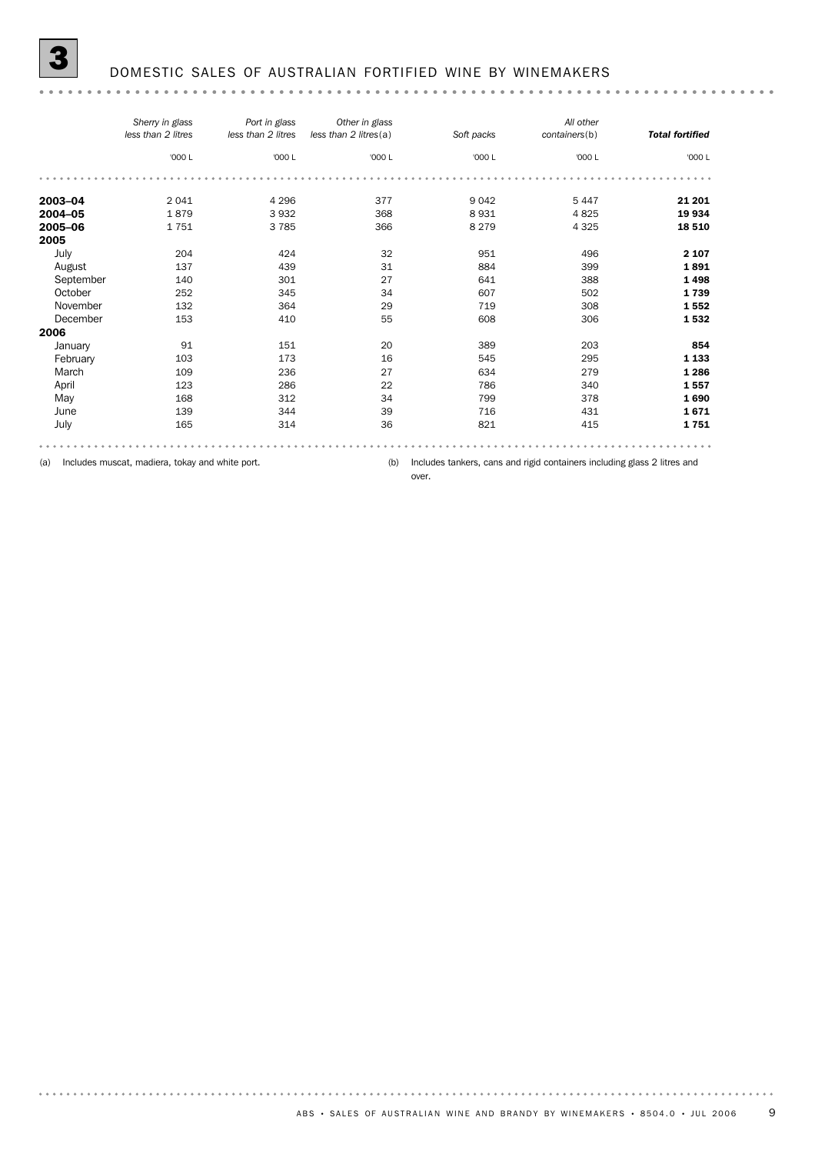|           | Sherry in glass<br>less than 2 litres | Port in glass<br>less than 2 litres | Other in glass<br>less than 2 litres(a) | Soft packs | All other<br>containers(b) | <b>Total fortified</b> |
|-----------|---------------------------------------|-------------------------------------|-----------------------------------------|------------|----------------------------|------------------------|
|           | '000 L                                | '000 L                              | '000 L                                  | '000 L     | '000 L                     | '000 L                 |
|           |                                       |                                     |                                         |            |                            |                        |
| 2003-04   | 2041                                  | 4 2 9 6                             | 377                                     | 9 0 4 2    | 5 4 4 7                    | 21 201                 |
| 2004-05   | 1879                                  | 3932                                | 368                                     | 8931       | 4825                       | 19 934                 |
| 2005-06   | 1751                                  | 3785                                | 366                                     | 8 2 7 9    | 4 3 2 5                    | 18 510                 |
| 2005      |                                       |                                     |                                         |            |                            |                        |
| July      | 204                                   | 424                                 | 32                                      | 951        | 496                        | 2 1 0 7                |
| August    | 137                                   | 439                                 | 31                                      | 884        | 399                        | 1891                   |
| September | 140                                   | 301                                 | 27                                      | 641        | 388                        | 1498                   |
| October   | 252                                   | 345                                 | 34                                      | 607        | 502                        | 1739                   |
| November  | 132                                   | 364                                 | 29                                      | 719        | 308                        | 1552                   |
| December  | 153                                   | 410                                 | 55                                      | 608        | 306                        | 1532                   |
| 2006      |                                       |                                     |                                         |            |                            |                        |
| January   | 91                                    | 151                                 | 20                                      | 389        | 203                        | 854                    |
| February  | 103                                   | 173                                 | 16                                      | 545        | 295                        | 1 1 3 3                |
| March     | 109                                   | 236                                 | 27                                      | 634        | 279                        | 1 2 8 6                |
| April     | 123                                   | 286                                 | 22                                      | 786        | 340                        | 1557                   |
| May       | 168                                   | 312                                 | 34                                      | 799        | 378                        | 1690                   |
| June      | 139                                   | 344                                 | 39                                      | 716        | 431                        | 1671                   |
| July      | 165                                   | 314                                 | 36                                      | 821        | 415                        | 1751                   |
|           |                                       |                                     |                                         |            |                            |                        |

(a) Includes muscat, madiera, tokay and white port.

(b) Includes tankers, cans and rigid containers including glass 2 litres and

over.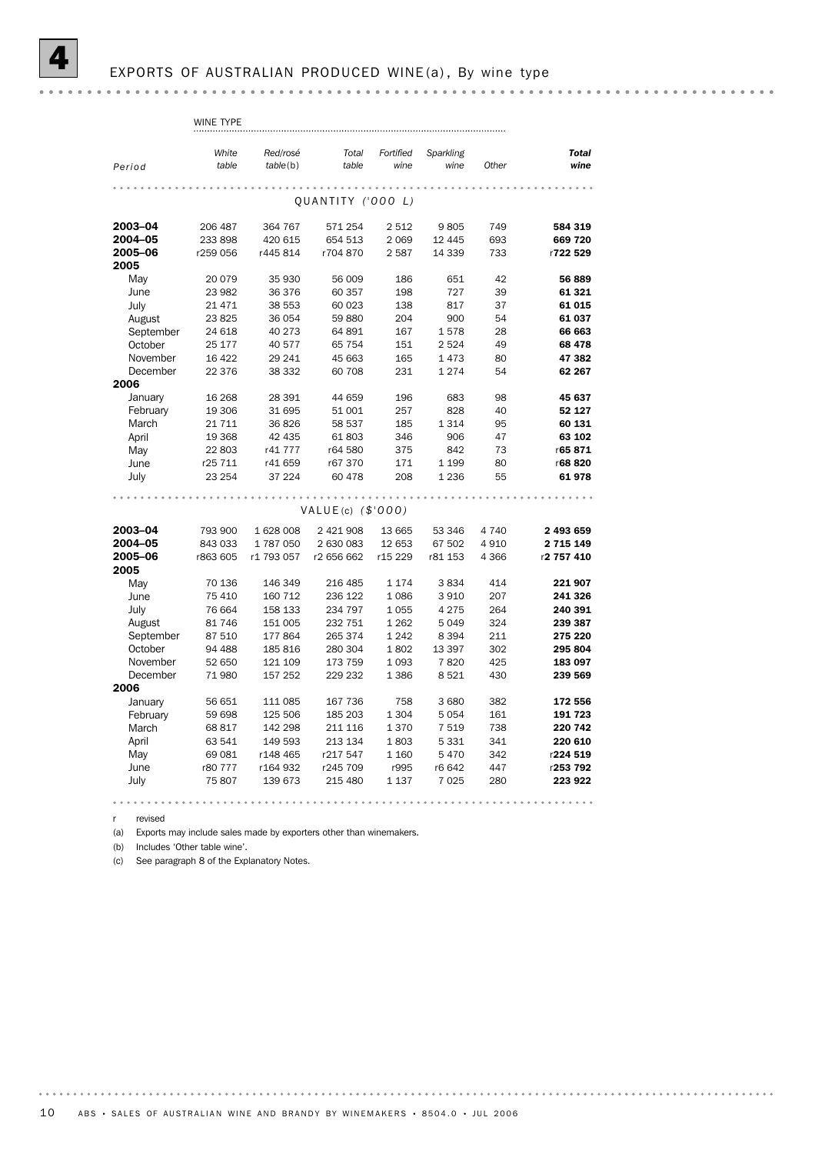r revised

(a) Exports may include sales made by exporters other than winemakers.

(b) Includes 'Other table wine'.

(c) See paragraph 8 of the Explanatory Notes.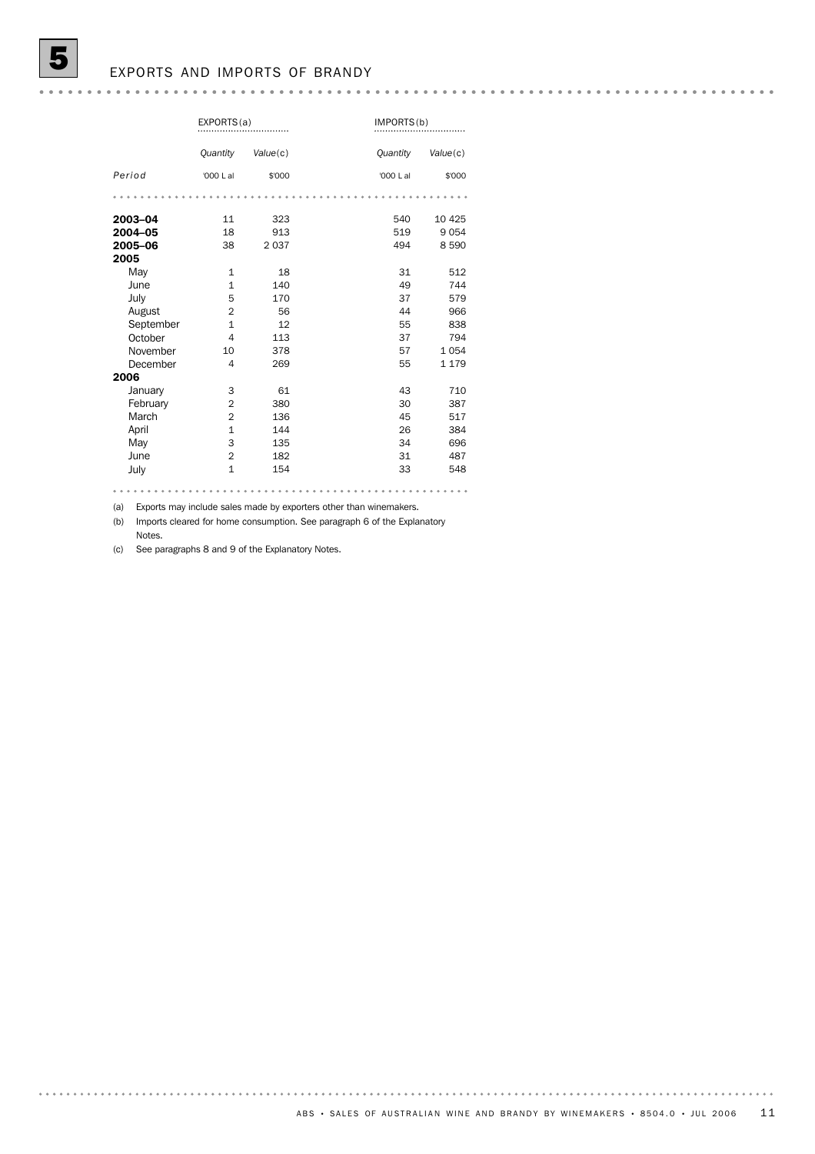## EXPORTS AND IMPORTS OF BRANDY

|           | EXPORTS(a)      |          |                 | IMPORTS(b) |  |  |
|-----------|-----------------|----------|-----------------|------------|--|--|
|           | <b>Quantity</b> | Value(c) | <b>Quantity</b> | Value(c)   |  |  |
| Period    | '000 L al       | \$'000   | '000 L al       | \$'000     |  |  |
|           |                 |          |                 |            |  |  |
| 2003-04   | 11              | 323      | 540             | 10 4 25    |  |  |
| 2004-05   | 18              | 913      | 519             | 9 0 5 4    |  |  |
| 2005-06   | 38              | 2037     | 494             | 8 5 9 0    |  |  |
| 2005      |                 |          |                 |            |  |  |
| May       | $\mathbf{1}$    | 18       | 31              | 512        |  |  |
| June      | $\mathbf{1}$    | 140      | 49              | 744        |  |  |
| July      | 5               | 170      | 37              | 579        |  |  |
| August    | $\overline{2}$  | 56       | 44              | 966        |  |  |
| September | $\mathbf{1}$    | 12       | 55              | 838        |  |  |
| October   | 4               | 113      | 37              | 794        |  |  |
| November  | 10              | 378      | 57              | 1054       |  |  |
| December  | 4               | 269      | 55              | 1 1 7 9    |  |  |
| 2006      |                 |          |                 |            |  |  |
| January   | 3               | 61       | 43              | 710        |  |  |
| February  | $\overline{2}$  | 380      | 30              | 387        |  |  |
| March     | $\overline{2}$  | 136      | 45              | 517        |  |  |
| April     | $\mathbf{1}$    | 144      | 26              | 384        |  |  |
| May       | 3               | 135      | 34              | 696        |  |  |
| June      | $\overline{2}$  | 182      | 31              | 487        |  |  |
| July      | $\mathbf{1}$    | 154      | 33              | 548        |  |  |

(a) Exports may include sales made by exporters other than winemakers.

(b) Imports cleared for home consumption. See paragraph 6 of the Explanatory Notes.

(c) See paragraphs 8 and 9 of the Explanatory Notes.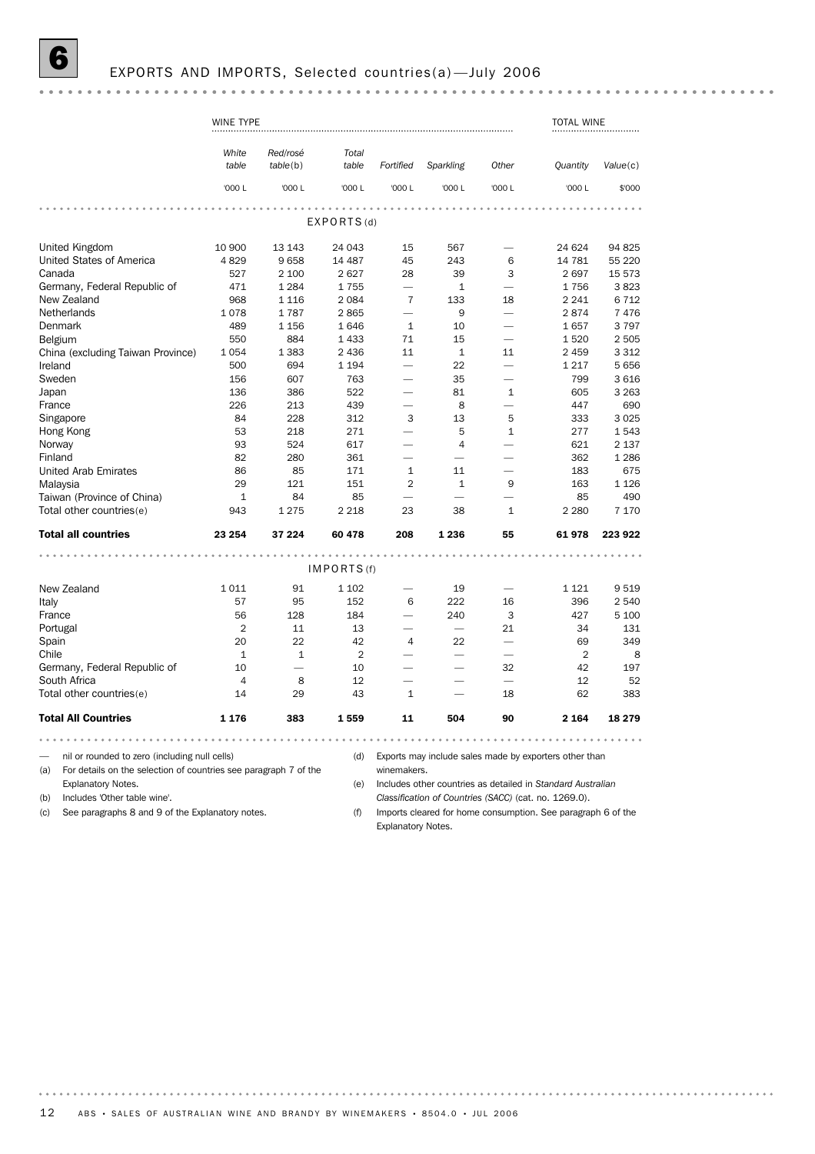# EXPORTS AND IMPORTS, Selected countries(a)—July 2006

|                                                                                                                          | WINE TYPE      |                          |                |                          |             |                                                                                                                                                                                                                                | <b>TOTAL WINE</b>                                           |                 |
|--------------------------------------------------------------------------------------------------------------------------|----------------|--------------------------|----------------|--------------------------|-------------|--------------------------------------------------------------------------------------------------------------------------------------------------------------------------------------------------------------------------------|-------------------------------------------------------------|-----------------|
|                                                                                                                          | White<br>table | Red/rosé<br>table(b)     | Total<br>table | Fortified                | Sparkling   | Other                                                                                                                                                                                                                          | <b>Quantity</b>                                             | Value(c)        |
|                                                                                                                          | '000L          | '000 L                   | '000 L         | '000 L                   | '000 L      | '000 L                                                                                                                                                                                                                         | '000 L                                                      | \$'000          |
|                                                                                                                          |                |                          |                |                          |             |                                                                                                                                                                                                                                |                                                             |                 |
|                                                                                                                          |                |                          | EXPORTS(d)     |                          |             |                                                                                                                                                                                                                                |                                                             |                 |
| United Kingdom                                                                                                           | 10 900         | 13 143                   | 24 043         | 15                       | 567         | and the contract of the contract of the contract of the contract of the contract of the contract of the contract of the contract of the contract of the contract of the contract of the contract of the contract of the contra | 24 624                                                      | 94 825          |
| United States of America                                                                                                 | 4829           | 9658                     | 14 487         | 45                       | 243         | 6                                                                                                                                                                                                                              | 14 781                                                      | 55 2 20         |
| Canada                                                                                                                   | 527            | 2 100                    | 2627           | 28                       | 39          | 3                                                                                                                                                                                                                              | 2697                                                        | 15 573          |
| Germany, Federal Republic of                                                                                             | 471            | 1 2 8 4                  | 1755           | ÷.                       | $\mathbf 1$ | $\overline{\phantom{0}}$                                                                                                                                                                                                       | 1756                                                        | 3823            |
| New Zealand                                                                                                              | 968            | 1 1 1 6                  | 2 0 8 4        | $\overline{7}$           | 133         | 18                                                                                                                                                                                                                             | 2 2 4 1                                                     | 6 7 1 2         |
| Netherlands                                                                                                              | 1078           | 1787                     | 2865           |                          | 9           |                                                                                                                                                                                                                                | 2874                                                        | 7476            |
| Denmark                                                                                                                  | 489            | 1 1 5 6                  | 1646           | $\mathbf{1}$             | 10          |                                                                                                                                                                                                                                | 1657                                                        | 3797            |
| Belgium                                                                                                                  | 550            | 884                      | 1 4 3 3        | 71                       | 15          |                                                                                                                                                                                                                                | 1520                                                        | 2 5 0 5         |
| China (excluding Taiwan Province)                                                                                        | 1054           | 1 3 8 3                  | 2 4 3 6        | 11                       | $\mathbf 1$ | 11                                                                                                                                                                                                                             | 2 4 5 9                                                     | 3 3 1 2         |
| Ireland                                                                                                                  | 500            | 694                      | 1 1 9 4        |                          | 22          | $\overline{\phantom{0}}$                                                                                                                                                                                                       | 1 2 1 7                                                     | 5656            |
| Sweden                                                                                                                   | 156            | 607                      | 763            |                          | 35          |                                                                                                                                                                                                                                | 799                                                         | 3616            |
| Japan                                                                                                                    | 136            | 386                      | 522            |                          | 81          | 1                                                                                                                                                                                                                              | 605                                                         | 3 2 6 3         |
| France                                                                                                                   | 226            | 213                      | 439            | $\overline{\phantom{0}}$ | 8           | ÷.                                                                                                                                                                                                                             | 447                                                         | 690             |
| Singapore                                                                                                                | 84             | 228                      | 312            | 3                        | 13          | 5                                                                                                                                                                                                                              | 333                                                         | 3 0 25          |
| Hong Kong                                                                                                                | 53             | 218                      | 271            | $\overline{\phantom{0}}$ | 5           | $\mathbf{1}$                                                                                                                                                                                                                   | 277                                                         | 1543            |
| Norway                                                                                                                   | 93             | 524                      | 617            |                          | 4           |                                                                                                                                                                                                                                | 621                                                         | 2 1 3 7         |
| Finland                                                                                                                  | 82             | 280                      | 361            |                          |             |                                                                                                                                                                                                                                | 362                                                         | 1 2 8 6         |
| United Arab Emirates                                                                                                     | 86             | 85                       | 171            | $\mathbf{1}$             | 11          |                                                                                                                                                                                                                                | 183                                                         | 675             |
| Malaysia                                                                                                                 | 29             | 121                      | 151            | $\overline{2}$           | $1\,$       | 9                                                                                                                                                                                                                              | 163                                                         | 1 1 2 6         |
| Taiwan (Province of China)                                                                                               | $\mathbf{1}$   | 84                       | 85             |                          |             |                                                                                                                                                                                                                                | 85                                                          | 490             |
| Total other countries(e)                                                                                                 | 943            | 1 2 7 5                  | 2 2 1 8        | 23                       | 38          | 1                                                                                                                                                                                                                              | 2 2 8 0                                                     | 7 1 7 0         |
|                                                                                                                          |                |                          |                |                          |             |                                                                                                                                                                                                                                |                                                             |                 |
| <b>Total all countries</b>                                                                                               | 23 254         | 37 224                   | 60 478         | 208                      | 1 2 3 6     | 55                                                                                                                                                                                                                             | 61978                                                       | 223 922         |
|                                                                                                                          |                |                          | IMPORTS(f)     |                          |             |                                                                                                                                                                                                                                |                                                             |                 |
| New Zealand                                                                                                              | 1011           |                          | 1 1 0 2        | $\overline{\phantom{0}}$ |             |                                                                                                                                                                                                                                |                                                             |                 |
|                                                                                                                          | 57             | 91<br>95                 | 152            | 6                        | 19<br>222   | $\overline{\phantom{0}}$<br>16                                                                                                                                                                                                 | 1 1 2 1<br>396                                              | 9519<br>2 5 4 0 |
| Italy                                                                                                                    | 56             |                          |                |                          | 240         |                                                                                                                                                                                                                                | 427                                                         | 5 100           |
| France                                                                                                                   | 2              | 128<br>11                | 184<br>13      |                          |             | 3<br>21                                                                                                                                                                                                                        | 34                                                          | 131             |
| Portugal                                                                                                                 | 20             | 22                       | 42             | $\overline{4}$           | 22          |                                                                                                                                                                                                                                | 69                                                          | 349             |
| Spain<br>Chile                                                                                                           | $\mathbf{1}$   | $\mathbf{1}$             | $\overline{2}$ | $\overline{\phantom{0}}$ |             |                                                                                                                                                                                                                                | 2                                                           | 8               |
|                                                                                                                          | 10             | $\overline{\phantom{0}}$ | 10             | $\overline{\phantom{0}}$ | -           | 32                                                                                                                                                                                                                             | 42                                                          | 197             |
| Germany, Federal Republic of<br>South Africa                                                                             | $\overline{4}$ |                          | 12             |                          |             |                                                                                                                                                                                                                                | 12                                                          | 52              |
|                                                                                                                          | 14             | 8                        | 43             | $\mathbf{1}$             |             | 18                                                                                                                                                                                                                             | 62                                                          | 383             |
| Total other countries(e)                                                                                                 |                | 29                       |                |                          |             |                                                                                                                                                                                                                                |                                                             |                 |
| <b>Total All Countries</b>                                                                                               | 1 1 7 6        | 383                      | 1559           | 11                       | 504         | 90                                                                                                                                                                                                                             | 2 1 6 4                                                     | 18 279          |
| .                                                                                                                        |                |                          |                |                          |             | .                                                                                                                                                                                                                              |                                                             |                 |
| nil or rounded to zero (including null cells)<br>For details on the selection of countries see paragraph 7 of the<br>(a) |                |                          | (d)            | winemakers.              |             |                                                                                                                                                                                                                                | Exports may include sales made by exporters other than      |                 |
| Explanatory Notes.                                                                                                       |                |                          | (e)            |                          |             |                                                                                                                                                                                                                                | Includes other countries as detailed in Standard Australian |                 |
| Includes 'Other table wine'.<br>(b)                                                                                      |                |                          |                |                          |             |                                                                                                                                                                                                                                | Classification of Countries (SACC) (cat. no. 1269.0).       |                 |

(c) See paragraphs 8 and 9 of the Explanatory notes.

*Classification of Countries (SACC)* (cat. no. 1269.0). (f) Imports cleared for home consumption. See paragraph 6 of the

Explanatory Notes.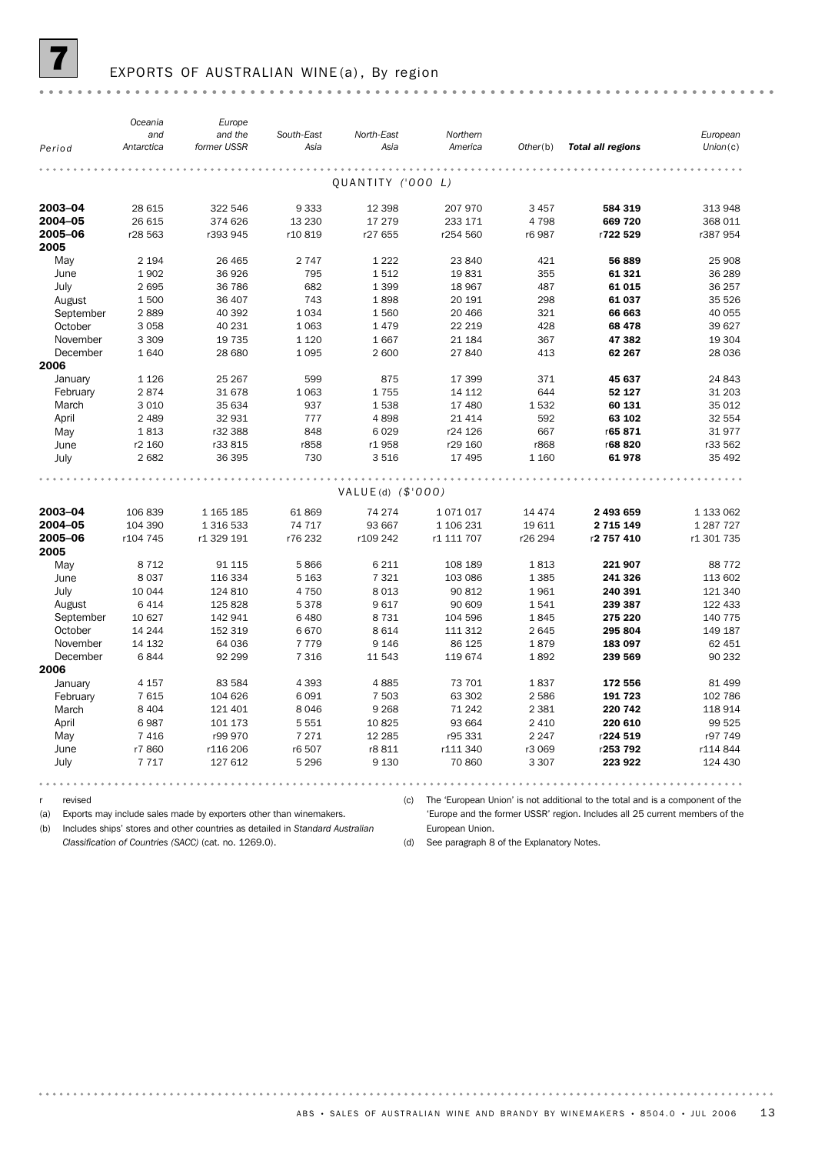

# EXPORTS OF AUSTRALIAN WINE (a), By region

|                  | Oceania           | Europe                 |                    |                     |                     |          |                          |                      |
|------------------|-------------------|------------------------|--------------------|---------------------|---------------------|----------|--------------------------|----------------------|
|                  | and<br>Antarctica | and the<br>former USSR | South-East<br>Asia | North-East<br>Asia  | Northern<br>America | Other(b) | <b>Total all regions</b> | European<br>Union(c) |
| Period           |                   |                        |                    |                     |                     |          |                          |                      |
|                  |                   |                        |                    |                     |                     |          |                          |                      |
|                  |                   |                        |                    | QUANTITY ('000 L)   |                     |          |                          |                      |
| 2003-04          | 28 615            | 322 546                | 9 3 3 3            | 12 3 98             | 207 970             | 3 4 5 7  | 584 319                  | 313 948              |
| 2004-05          | 26 615            | 374 626                | 13 2 30            | 17 279              | 233 171             | 4798     | 669 720                  | 368 011              |
| 2005-06          | r28 563           | r393 945               | r10819             | r27 655             | r254 560            | r6 987   | r722 529                 | r387 954             |
| 2005             |                   |                        |                    |                     |                     |          |                          |                      |
| May              | 2 1 9 4           | 26 4 65                | 2 7 4 7            | 1 2 2 2             | 23 840              | 421      | 56 889                   | 25 908               |
| June             | 1902              | 36 926                 | 795                | 1512                | 19831               | 355      | 61 321                   | 36 289               |
| July             | 2695              | 36 786                 | 682                | 1 3 9 9             | 18 967              | 487      | 61 015                   | 36 257               |
| August           | 1500              | 36 407                 | 743                | 1898                | 20 191              | 298      | 61 037                   | 35 5 26              |
| September        | 2889              | 40 392                 | 1034               | 1560                | 20 466              | 321      | 66 663                   | 40 055               |
| October          | 3058              | 40 231                 | 1 0 6 3            | 1 4 7 9             | 22 219              | 428      | 68 478                   | 39 627               |
| November         | 3 3 0 9           | 19 7 35                | 1 1 2 0            | 1667                | 21 184              | 367      | 47 382                   | 19 304               |
| December<br>2006 | 1640              | 28 680                 | 1 0 9 5            | 2 600               | 27 840              | 413      | 62 267                   | 28 0 36              |
| January          | 1 1 2 6           | 25 267                 | 599                | 875                 | 17 399              | 371      | 45 637                   | 24 843               |
| February         | 2874              | 31 678                 | 1 0 6 3            | 1755                | 14 112              | 644      | 52 127                   | 31 203               |
| March            | 3 0 1 0           | 35 634                 | 937                | 1538                | 17 480              | 1532     | 60 131                   | 35 012               |
| April            | 2 4 8 9           | 32 931                 | 777                | 4898                | 21 4 14             | 592      | 63 102                   | 32 554               |
| May              | 1813              | r32 388                | 848                | 6 0 2 9             | r24 126             | 667      | r65 871                  | 31977                |
| June             | r2 160            | r33 815                | r858               | r1 958              | r29 160             | r868     | r68 820                  | r33 562              |
| July             | 2682              | 36 395                 | 730                | 3516                | 17 495              | 1 1 6 0  | 61978                    | 35 4 92              |
|                  |                   |                        |                    |                     |                     |          |                          |                      |
|                  |                   |                        |                    | $VALUE(d)$ (\$'000) |                     |          |                          |                      |
| 2003-04          | 106 839           | 1 165 185              | 61 869             | 74 274              | 1071017             | 14 4 7 4 | 2 493 659                | 1 133 062            |
| 2004-05          | 104 390           | 1 316 533              | 74 717             | 93 667              | 1 106 231           | 19611    | 2 7 1 5 1 4 9            | 1 287 7 27           |
| 2005-06          | r104 745          | r1 329 191             | r76 232            | r109 242            | r1 111 707          | r26 294  | r2 757 410               | r1 301 735           |
| 2005             |                   |                        |                    |                     |                     |          |                          |                      |
| May              | 8 7 1 2           | 91 1 15                | 5866               | 6 2 1 1             | 108 189             | 1813     | 221 907                  | 88 7 7 2             |
| June             | 8037              | 116 334                | 5 1 6 3            | 7 3 2 1             | 103 086             | 1 3 8 5  | 241 326                  | 113 602              |
| July             | 10 044            | 124 810                | 4 7 5 0            | 8 0 1 3             | 90 812              | 1961     | 240 391                  | 121 340              |
| August           | 6414              | 125 828                | 5378               | 9617                | 90 609              | 1541     | 239 387                  | 122 433              |
| September        | 10 627            | 142 941                | 6 4 8 0            | 8 7 3 1             | 104 596             | 1845     | 275 220                  | 140 775              |
| October          | 14 244            | 152 319                | 6670               | 8 6 1 4             | 111 312             | 2645     | 295 804                  | 149 187              |
| November         | 14 132            | 64 036                 | 7 7 7 9            | 9 1 4 6             | 86 125              | 1879     | 183 097                  | 62 451               |
| December         | 6844              | 92 299                 | 7 3 1 6            | 11 543              | 119674              | 1892     | 239 569                  | 90 232               |
| 2006             |                   |                        |                    |                     |                     |          |                          |                      |
| January          | 4 1 5 7           | 83 5 84                | 4 3 9 3            | 4885                | 73 701              | 1837     | 172 556                  | 81 499               |
| February         | 7615              | 104 626                | 6091               | 7 503               | 63 302              | 2 5 8 6  | 191 723                  | 102 786              |
| March            | 8 4 0 4           | 121 401                | 8 0 4 6            | 9 2 6 8             | 71 242              | 2 3 8 1  | 220 742                  | 118 914              |
| April            | 6987              | 101 173                | 5 5 5 1            | 10825               | 93 664              | 2 4 1 0  | 220 610                  | 99 525               |
| May              | 7 4 1 6           | r99 970                | 7 2 7 1            | 12 2 85             | r95 331             | 2 2 4 7  | r224 519                 | r97 749              |
| June             | r7860             | r116 206               | r6 507             | r8 811              | r111 340            | r3 069   | r253 792                 | r114844              |
| July             | 7717              | 127 612                | 5 2 9 6            | 9 1 3 0             | 70 860              | 3 3 0 7  | 223 922                  | 124 430              |
|                  |                   |                        |                    |                     |                     |          |                          |                      |

r revised

. . . . . . . .

(a) Exports may include sales made by exporters other than winemakers.

(c) The 'European Union' is not additional to the total and is a component of the

(b) Includes ships' stores and other countries as detailed in *Standard Australian*

*Classification of Countries (SACC)* (cat. no. 1269.0).

'Europe and the former USSR' region. Includes all 25 current members of the European Union.

(d) See paragraph 8 of the Explanatory Notes.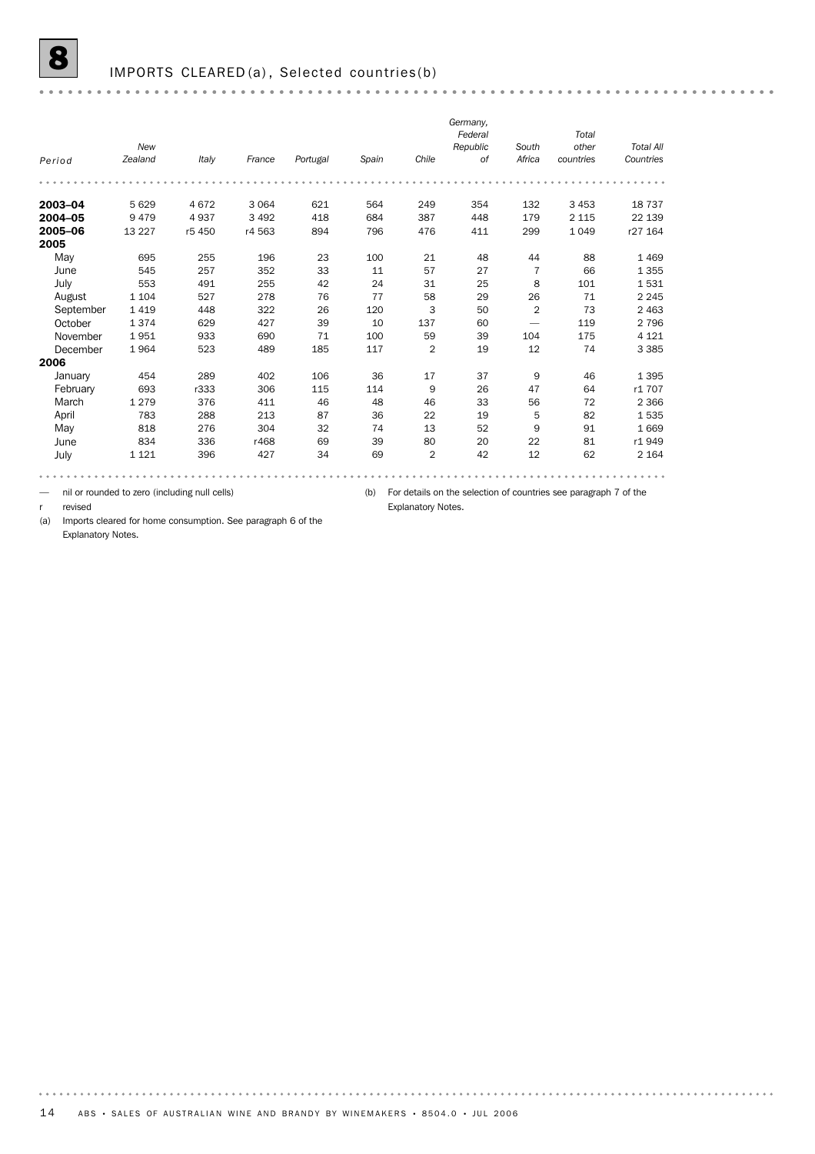|           |         |        |         |          |       |                | Germany, |                |           |                  |
|-----------|---------|--------|---------|----------|-------|----------------|----------|----------------|-----------|------------------|
|           |         |        |         |          |       |                | Federal  |                | Total     |                  |
|           | New     |        |         |          |       |                | Republic | South          | other     | <b>Total All</b> |
| Period    | Zealand | Italy  | France  | Portugal | Spain | Chile          | 0f       | Africa         | countries | Countries        |
|           |         |        |         |          |       |                |          |                |           |                  |
| 2003-04   | 5 6 2 9 | 4672   | 3 0 6 4 | 621      | 564   | 249            | 354      | 132            | 3 4 5 3   | 18737            |
| 2004-05   | 9479    | 4937   | 3 4 9 2 | 418      | 684   | 387            | 448      | 179            | 2 1 1 5   | 22 139           |
| 2005-06   | 13 2 27 | r5 450 | r4 563  | 894      | 796   | 476            | 411      | 299            | 1 0 4 9   | r27 164          |
| 2005      |         |        |         |          |       |                |          |                |           |                  |
| May       | 695     | 255    | 196     | 23       | 100   | 21             | 48       | 44             | 88        | 1 4 6 9          |
| June      | 545     | 257    | 352     | 33       | 11    | 57             | 27       | 7              | 66        | 1 3 5 5          |
| July      | 553     | 491    | 255     | 42       | 24    | 31             | 25       | 8              | 101       | 1531             |
| August    | 1 1 0 4 | 527    | 278     | 76       | 77    | 58             | 29       | 26             | 71        | 2 2 4 5          |
| September | 1419    | 448    | 322     | 26       | 120   | 3              | 50       | $\overline{2}$ | 73        | 2 4 6 3          |
| October   | 1374    | 629    | 427     | 39       | 10    | 137            | 60       |                | 119       | 2 7 9 6          |
| November  | 1951    | 933    | 690     | 71       | 100   | 59             | 39       | 104            | 175       | 4 1 2 1          |
| December  | 1964    | 523    | 489     | 185      | 117   | $\overline{2}$ | 19       | 12             | 74        | 3 3 8 5          |
| 2006      |         |        |         |          |       |                |          |                |           |                  |
| January   | 454     | 289    | 402     | 106      | 36    | 17             | 37       | 9              | 46        | 1 3 9 5          |
| February  | 693     | r333   | 306     | 115      | 114   | 9              | 26       | 47             | 64        | r1 707           |
| March     | 1 2 7 9 | 376    | 411     | 46       | 48    | 46             | 33       | 56             | 72        | 2 3 6 6          |
| April     | 783     | 288    | 213     | 87       | 36    | 22             | 19       | 5              | 82        | 1535             |
| May       | 818     | 276    | 304     | 32       | 74    | 13             | 52       | 9              | 91        | 1 6 6 9          |
| June      | 834     | 336    | r468    | 69       | 39    | 80             | 20       | 22             | 81        | r1949            |
| July      | 1 1 2 1 | 396    | 427     | 34       | 69    | $\overline{2}$ | 42       | 12             | 62        | 2 1 6 4          |

— nil or rounded to zero (including null cells)

(b) For details on the selection of countries see paragraph 7 of the

Explanatory Notes.

r revised

. . . . . . . . .

(a) Imports cleared for home consumption. See paragraph 6 of the Explanatory Notes.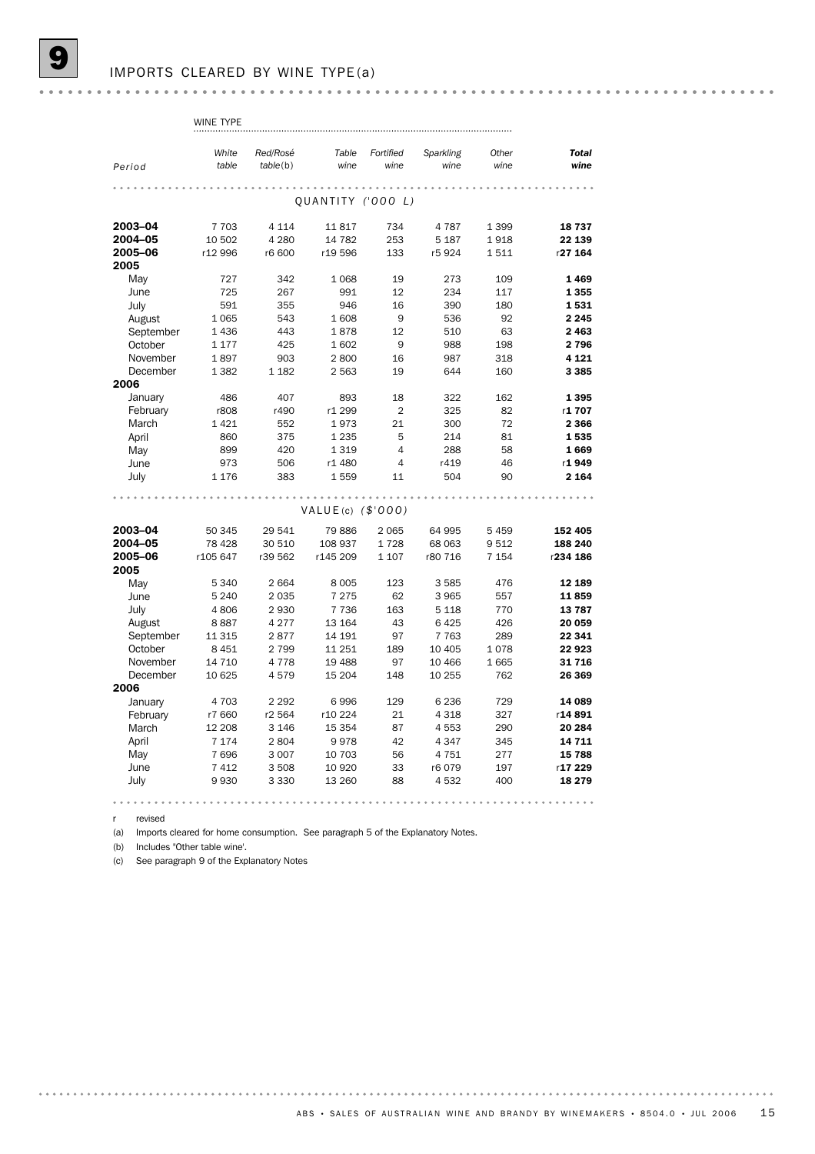|           | WINE TYPE |          |                      |                |           |         |              |
|-----------|-----------|----------|----------------------|----------------|-----------|---------|--------------|
|           |           |          |                      |                |           |         |              |
|           | White     | Red/Rosé | Table                | Fortified      | Sparkling | Other   | <b>Total</b> |
| Period    | table     | table(b) | wine                 | wine           | wine      | wine    | wine         |
|           |           |          |                      |                |           |         |              |
|           |           |          |                      |                |           |         |              |
|           |           |          | QUANTITY ('000 L)    |                |           |         |              |
| 2003-04   | 7 7 0 3   | 4 1 1 4  | 11817                | 734            | 4787      | 1 3 9 9 | 18737        |
| 2004-05   | 10 502    | 4 2 8 0  | 14 782               | 253            | 5 1 8 7   | 1918    | 22 139       |
| 2005-06   | r12 996   | r6 600   | r19596               | 133            | r5924     | 1511    | r27 164      |
| 2005      |           |          |                      |                |           |         |              |
| May       | 727       | 342      | 1 0 6 8              | 19             | 273       | 109     | 1469         |
| June      | 725       | 267      | 991                  | 12             | 234       | 117     | 1 3 5 5      |
| July      | 591       | 355      | 946                  | 16             | 390       | 180     | 1531         |
| August    | 1 0 6 5   | 543      | 1608                 | 9              | 536       | 92      | 2 2 4 5      |
| September | 1436      | 443      | 1878                 | 12             | 510       | 63      | 2463         |
| October   | 1 1 7 7   | 425      | 1602                 | 9              | 988       | 198     | 2796         |
| November  | 1897      | 903      | 2800                 | 16             | 987       | 318     | 4 1 2 1      |
| December  | 1 3 8 2   | 1 1 8 2  | 2 5 6 3              | 19             | 644       | 160     | 3 3 8 5      |
| 2006      |           |          |                      |                |           |         |              |
| January   | 486       | 407      | 893                  | 18             | 322       | 162     | 1395         |
| February  | r808      | r490     | r1 299               | $\overline{2}$ | 325       | 82      | r1707        |
| March     | 1421      | 552      | 1973                 | 21             | 300       | 72      | 2 3 6 6      |
| April     | 860       | 375      | 1 2 3 5              | 5              | 214       | 81      | 1535         |
| May       | 899       | 420      | 1319                 | $\overline{4}$ | 288       | 58      | 1669         |
| June      | 973       | 506      | r1 480               | $\overline{4}$ | r419      | 46      | r1949        |
| July      | 1 1 7 6   | 383      | 1559                 | 11             | 504       | 90      | 2 1 6 4      |
|           |           |          |                      |                |           |         |              |
|           |           |          |                      |                |           |         |              |
|           |           |          | VALUE(c) $($ \$'000) |                |           |         |              |
| 2003-04   | 50 345    | 29 541   | 79886                | 2 0 6 5        | 64 995    | 5 4 5 9 | 152 405      |
| 2004-05   | 78 4 28   | 30 510   | 108 937              | 1728           | 68 063    | 9512    | 188 240      |
| 2005-06   | r105 647  | r39 562  | r145 209             | 1 1 0 7        | r80 716   | 7 1 5 4 | r234 186     |
| 2005      |           |          |                      |                |           |         |              |
| May       | 5 3 4 0   | 2664     | 8 0 0 5              | 123            | 3585      | 476     | 12 189       |
| June      | 5 2 4 0   | 2035     | 7 2 7 5              | 62             | 3965      | 557     | 11859        |
| July      | 4806      | 2930     | 7 7 3 6              | 163            | 5 1 1 8   | 770     | 13787        |
| August    | 8887      | 4 2 7 7  | 13 164               | 43             | 6425      | 426     | 20 059       |
| September | 11 315    | 2877     | 14 191               | 97             | 7 7 6 3   | 289     | 22 341       |
| October   | 8 4 5 1   | 2 7 9 9  | 11 251               | 189            | 10 4 05   | 1078    | 22 923       |
| November  | 14 7 10   | 4 7 7 8  | 19 488               | 97             | 10 466    | 1665    | 31716        |
| December  | 10 625    | 4579     | 15 204               | 148            | 10 255    | 762     | 26 369       |
| 2006      |           |          |                      |                |           |         |              |
| January   | 4 7 0 3   | 2 2 9 2  | 6996                 | 129            | 6 2 3 6   | 729     | 14 089       |
| February  | r7 660    | r2 564   | r10 224              | 21             | 4 3 1 8   | 327     | r14891       |
| March     | 12 208    | 3 1 4 6  | 15 3 54              | 87             | 4553      | 290     | 20 284       |
| April     | 7 1 7 4   | 2804     | 9978                 | 42             | 4 3 4 7   | 345     | 14 711       |
| May       | 7696      | 3 0 0 7  | 10 703               | 56             | 4751      | 277     | 15 788       |
| June      | 7 4 1 2   | 3508     | 10 9 20              | 33             | r6079     | 197     | r17 229      |
| July      | 9930      | 3 3 3 0  | 13 260               | 88             | 4532      | 400     | 18 279       |
| .         |           | .        |                      | .              |           |         |              |

r revised

(a) Imports cleared for home consumption. See paragraph 5 of the Explanatory Notes.

(b) Includes "Other table wine'.

(c) See paragraph 9 of the Explanatory Notes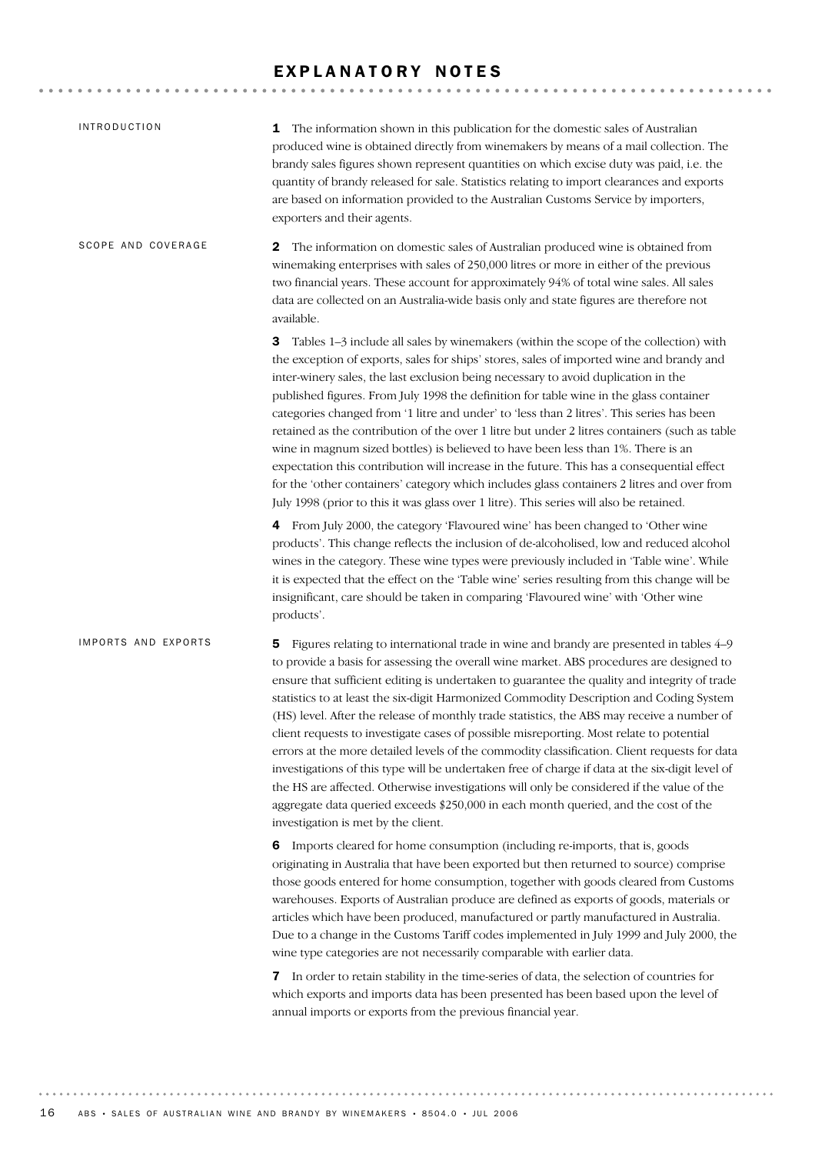## EXPLANATORY NOTES

| <b>INTRODUCTION</b> | 1 The information shown in this publication for the domestic sales of Australian<br>produced wine is obtained directly from winemakers by means of a mail collection. The<br>brandy sales figures shown represent quantities on which excise duty was paid, i.e. the<br>quantity of brandy released for sale. Statistics relating to import clearances and exports<br>are based on information provided to the Australian Customs Service by importers,<br>exporters and their agents.                                                                                                                                                                                                                                                                                                                                                                                                                                                                                                                    |
|---------------------|-----------------------------------------------------------------------------------------------------------------------------------------------------------------------------------------------------------------------------------------------------------------------------------------------------------------------------------------------------------------------------------------------------------------------------------------------------------------------------------------------------------------------------------------------------------------------------------------------------------------------------------------------------------------------------------------------------------------------------------------------------------------------------------------------------------------------------------------------------------------------------------------------------------------------------------------------------------------------------------------------------------|
| SCOPE AND COVERAGE  | The information on domestic sales of Australian produced wine is obtained from<br>2<br>winemaking enterprises with sales of 250,000 litres or more in either of the previous<br>two financial years. These account for approximately 94% of total wine sales. All sales<br>data are collected on an Australia-wide basis only and state figures are therefore not<br>available.                                                                                                                                                                                                                                                                                                                                                                                                                                                                                                                                                                                                                           |
|                     | Tables 1-3 include all sales by winemakers (within the scope of the collection) with<br>3<br>the exception of exports, sales for ships' stores, sales of imported wine and brandy and<br>inter-winery sales, the last exclusion being necessary to avoid duplication in the<br>published figures. From July 1998 the definition for table wine in the glass container<br>categories changed from '1 litre and under' to 'less than 2 litres'. This series has been<br>retained as the contribution of the over 1 litre but under 2 litres containers (such as table<br>wine in magnum sized bottles) is believed to have been less than 1%. There is an<br>expectation this contribution will increase in the future. This has a consequential effect<br>for the 'other containers' category which includes glass containers 2 litres and over from<br>July 1998 (prior to this it was glass over 1 litre). This series will also be retained.                                                            |
|                     | 4 From July 2000, the category 'Flavoured wine' has been changed to 'Other wine<br>products'. This change reflects the inclusion of de-alcoholised, low and reduced alcohol<br>wines in the category. These wine types were previously included in 'Table wine'. While<br>it is expected that the effect on the 'Table wine' series resulting from this change will be<br>insignificant, care should be taken in comparing 'Flavoured wine' with 'Other wine<br>products'.                                                                                                                                                                                                                                                                                                                                                                                                                                                                                                                                |
| IMPORTS AND EXPORTS | Figures relating to international trade in wine and brandy are presented in tables 4–9<br>5<br>to provide a basis for assessing the overall wine market. ABS procedures are designed to<br>ensure that sufficient editing is undertaken to guarantee the quality and integrity of trade<br>statistics to at least the six-digit Harmonized Commodity Description and Coding System<br>(HS) level. After the release of monthly trade statistics, the ABS may receive a number of<br>client requests to investigate cases of possible misreporting. Most relate to potential<br>errors at the more detailed levels of the commodity classification. Client requests for data<br>investigations of this type will be undertaken free of charge if data at the six-digit level of<br>the HS are affected. Otherwise investigations will only be considered if the value of the<br>aggregate data queried exceeds \$250,000 in each month queried, and the cost of the<br>investigation is met by the client. |
|                     | 6 Imports cleared for home consumption (including re-imports, that is, goods<br>originating in Australia that have been exported but then returned to source) comprise<br>those goods entered for home consumption, together with goods cleared from Customs<br>warehouses. Exports of Australian produce are defined as exports of goods, materials or<br>articles which have been produced, manufactured or partly manufactured in Australia.<br>Due to a change in the Customs Tariff codes implemented in July 1999 and July 2000, the<br>wine type categories are not necessarily comparable with earlier data.                                                                                                                                                                                                                                                                                                                                                                                      |
|                     | 7 In order to retain stability in the time-series of data, the selection of countries for<br>which exports and imports data has been presented has been based upon the level of<br>annual imports or exports from the previous financial year.                                                                                                                                                                                                                                                                                                                                                                                                                                                                                                                                                                                                                                                                                                                                                            |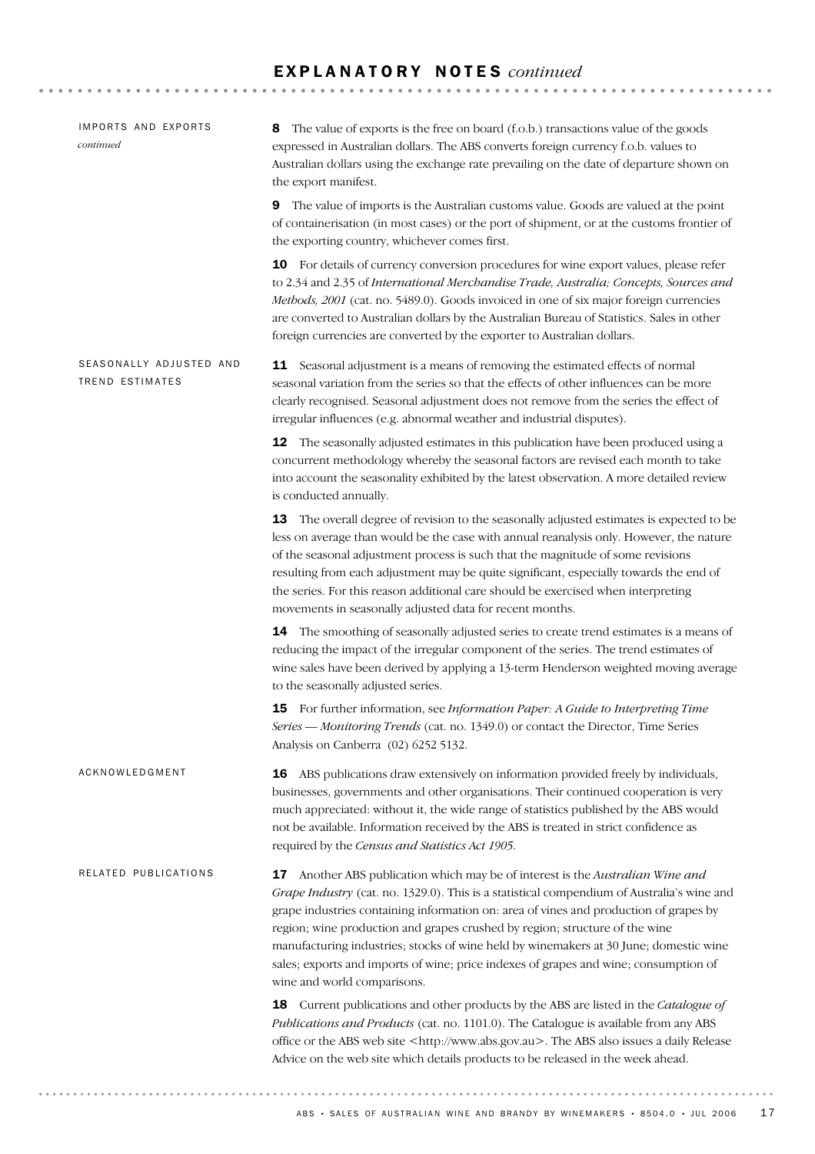# E X P L A N A T O R Y N O T E S *continued*

| IMPORTS AND EXPORTS<br>continued                  | The value of exports is the free on board (f.o.b.) transactions value of the goods<br>8<br>expressed in Australian dollars. The ABS converts foreign currency f.o.b. values to<br>Australian dollars using the exchange rate prevailing on the date of departure shown on<br>the export manifest.                                                                                                                                                                                                                                                                    |
|---------------------------------------------------|----------------------------------------------------------------------------------------------------------------------------------------------------------------------------------------------------------------------------------------------------------------------------------------------------------------------------------------------------------------------------------------------------------------------------------------------------------------------------------------------------------------------------------------------------------------------|
|                                                   | The value of imports is the Australian customs value. Goods are valued at the point<br>9<br>of containerisation (in most cases) or the port of shipment, or at the customs frontier of<br>the exporting country, whichever comes first.                                                                                                                                                                                                                                                                                                                              |
|                                                   | 10 For details of currency conversion procedures for wine export values, please refer<br>to 2.34 and 2.35 of International Merchandise Trade, Australia; Concepts, Sources and<br>Methods, 2001 (cat. no. 5489.0). Goods invoiced in one of six major foreign currencies<br>are converted to Australian dollars by the Australian Bureau of Statistics. Sales in other<br>foreign currencies are converted by the exporter to Australian dollars.                                                                                                                    |
| SEASONALLY ADJUSTED AND<br><b>TREND ESTIMATES</b> | <b>11</b> Seasonal adjustment is a means of removing the estimated effects of normal<br>seasonal variation from the series so that the effects of other influences can be more<br>clearly recognised. Seasonal adjustment does not remove from the series the effect of<br>irregular influences (e.g. abnormal weather and industrial disputes).                                                                                                                                                                                                                     |
|                                                   | <b>12</b> The seasonally adjusted estimates in this publication have been produced using a<br>concurrent methodology whereby the seasonal factors are revised each month to take<br>into account the seasonality exhibited by the latest observation. A more detailed review<br>is conducted annually.                                                                                                                                                                                                                                                               |
|                                                   | 13 The overall degree of revision to the seasonally adjusted estimates is expected to be<br>less on average than would be the case with annual reanalysis only. However, the nature<br>of the seasonal adjustment process is such that the magnitude of some revisions<br>resulting from each adjustment may be quite significant, especially towards the end of<br>the series. For this reason additional care should be exercised when interpreting<br>movements in seasonally adjusted data for recent months.                                                    |
|                                                   | 14 The smoothing of seasonally adjusted series to create trend estimates is a means of<br>reducing the impact of the irregular component of the series. The trend estimates of<br>wine sales have been derived by applying a 13-term Henderson weighted moving average<br>to the seasonally adjusted series.                                                                                                                                                                                                                                                         |
|                                                   | 15 For further information, see Information Paper: A Guide to Interpreting Time<br>Series — Monitoring Trends (cat. no. 1349.0) or contact the Director, Time Series<br>Analysis on Canberra (02) 6252 5132.                                                                                                                                                                                                                                                                                                                                                         |
| ACKNOWLEDGMENT                                    | <b>16</b> ABS publications draw extensively on information provided freely by individuals,<br>businesses, governments and other organisations. Their continued cooperation is very<br>much appreciated: without it, the wide range of statistics published by the ABS would<br>not be available. Information received by the ABS is treated in strict confidence as<br>required by the Census and Statistics Act 1905.                                                                                                                                               |
| RELATED PUBLICATIONS                              | 17 Another ABS publication which may be of interest is the Australian Wine and<br>Grape Industry (cat. no. 1329.0). This is a statistical compendium of Australia's wine and<br>grape industries containing information on: area of vines and production of grapes by<br>region; wine production and grapes crushed by region; structure of the wine<br>manufacturing industries; stocks of wine held by winemakers at 30 June; domestic wine<br>sales; exports and imports of wine; price indexes of grapes and wine; consumption of<br>wine and world comparisons. |
|                                                   | 18 Current publications and other products by the ABS are listed in the Catalogue of<br>Publications and Products (cat. no. 1101.0). The Catalogue is available from any ABS<br>office or the ABS web site <http: www.abs.gov.au="">. The ABS also issues a daily Release<br/>Advice on the web site which details products to be released in the week ahead.</http:>                                                                                                                                                                                                |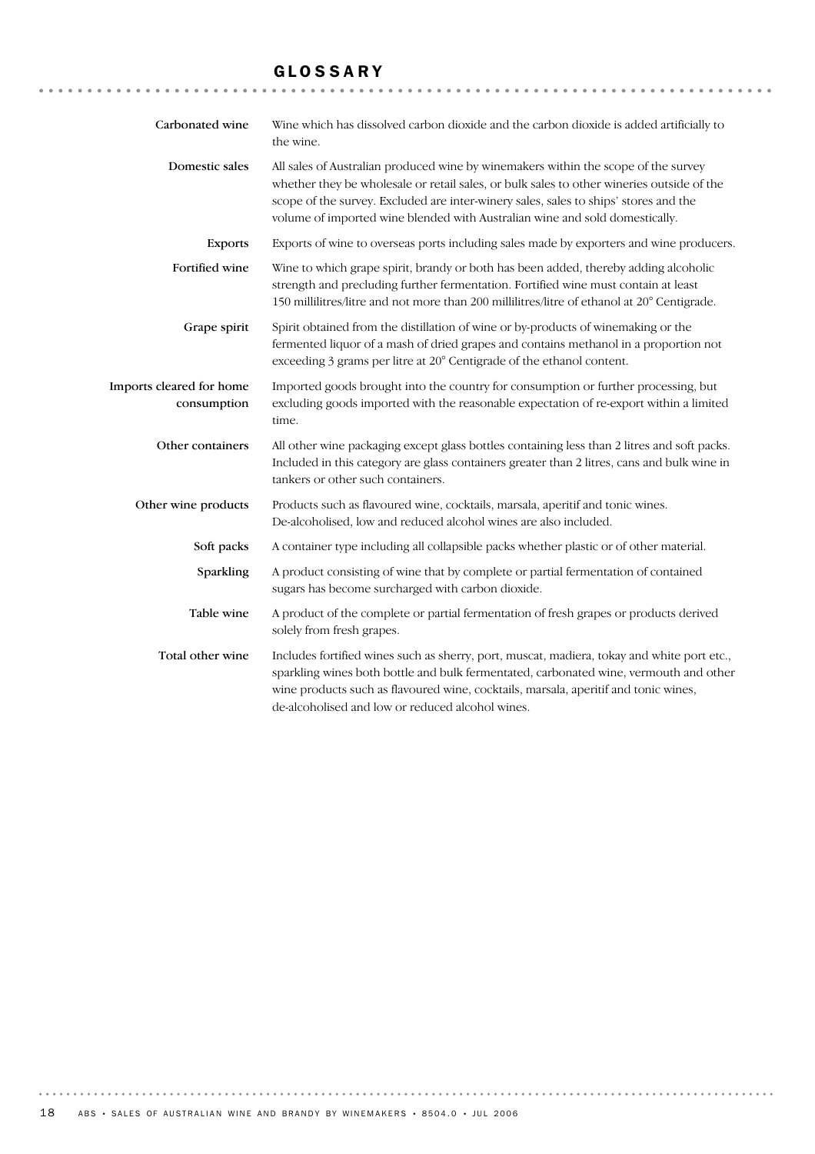# GLOSSARY

| Carbonated wine                         | Wine which has dissolved carbon dioxide and the carbon dioxide is added artificially to<br>the wine.                                                                                                                                                                                                                                                   |
|-----------------------------------------|--------------------------------------------------------------------------------------------------------------------------------------------------------------------------------------------------------------------------------------------------------------------------------------------------------------------------------------------------------|
| Domestic sales                          | All sales of Australian produced wine by winemakers within the scope of the survey<br>whether they be wholesale or retail sales, or bulk sales to other wineries outside of the<br>scope of the survey. Excluded are inter-winery sales, sales to ships' stores and the<br>volume of imported wine blended with Australian wine and sold domestically. |
| <b>Exports</b>                          | Exports of wine to overseas ports including sales made by exporters and wine producers.                                                                                                                                                                                                                                                                |
| Fortified wine                          | Wine to which grape spirit, brandy or both has been added, thereby adding alcoholic<br>strength and precluding further fermentation. Fortified wine must contain at least<br>150 millilitres/litre and not more than 200 millilitres/litre of ethanol at 20° Centigrade.                                                                               |
| Grape spirit                            | Spirit obtained from the distillation of wine or by-products of winemaking or the<br>fermented liquor of a mash of dried grapes and contains methanol in a proportion not<br>exceeding 3 grams per litre at 20° Centigrade of the ethanol content.                                                                                                     |
| Imports cleared for home<br>consumption | Imported goods brought into the country for consumption or further processing, but<br>excluding goods imported with the reasonable expectation of re-export within a limited<br>time.                                                                                                                                                                  |
| Other containers                        | All other wine packaging except glass bottles containing less than 2 litres and soft packs.<br>Included in this category are glass containers greater than 2 litres, cans and bulk wine in<br>tankers or other such containers.                                                                                                                        |
| Other wine products                     | Products such as flavoured wine, cocktails, marsala, aperitif and tonic wines.<br>De-alcoholised, low and reduced alcohol wines are also included.                                                                                                                                                                                                     |
| Soft packs                              | A container type including all collapsible packs whether plastic or of other material.                                                                                                                                                                                                                                                                 |
| Sparkling                               | A product consisting of wine that by complete or partial fermentation of contained<br>sugars has become surcharged with carbon dioxide.                                                                                                                                                                                                                |
| Table wine                              | A product of the complete or partial fermentation of fresh grapes or products derived<br>solely from fresh grapes.                                                                                                                                                                                                                                     |
| Total other wine                        | Includes fortified wines such as sherry, port, muscat, madiera, tokay and white port etc.,<br>sparkling wines both bottle and bulk fermentated, carbonated wine, vermouth and other<br>wine products such as flavoured wine, cocktails, marsala, aperitif and tonic wines,<br>de-alcoholised and low or reduced alcohol wines.                         |